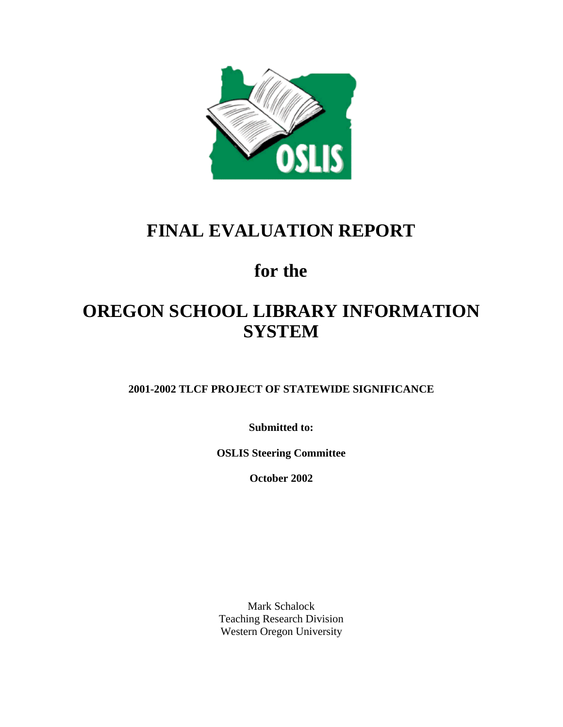

# **FINAL EVALUATION REPORT**

# **for the**

# **OREGON SCHOOL LIBRARY INFORMATION SYSTEM**

**2001-2002 TLCF PROJECT OF STATEWIDE SIGNIFICANCE**

**Submitted to:**

**OSLIS Steering Committee**

**October 2002**

Mark Schalock Teaching Research Division Western Oregon University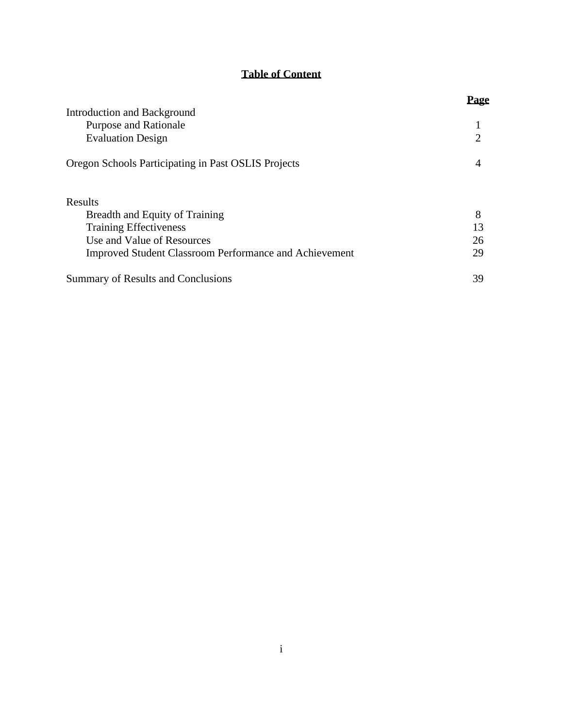# **Table of Content**

|                                                               | Page           |
|---------------------------------------------------------------|----------------|
| Introduction and Background                                   |                |
| <b>Purpose and Rationale</b>                                  |                |
| <b>Evaluation Design</b>                                      | $\overline{2}$ |
| Oregon Schools Participating in Past OSLIS Projects           | 4              |
| Results                                                       |                |
| Breadth and Equity of Training                                | 8              |
| <b>Training Effectiveness</b>                                 | 13             |
| Use and Value of Resources                                    | 26             |
| <b>Improved Student Classroom Performance and Achievement</b> | 29             |
| Summary of Results and Conclusions                            | 39             |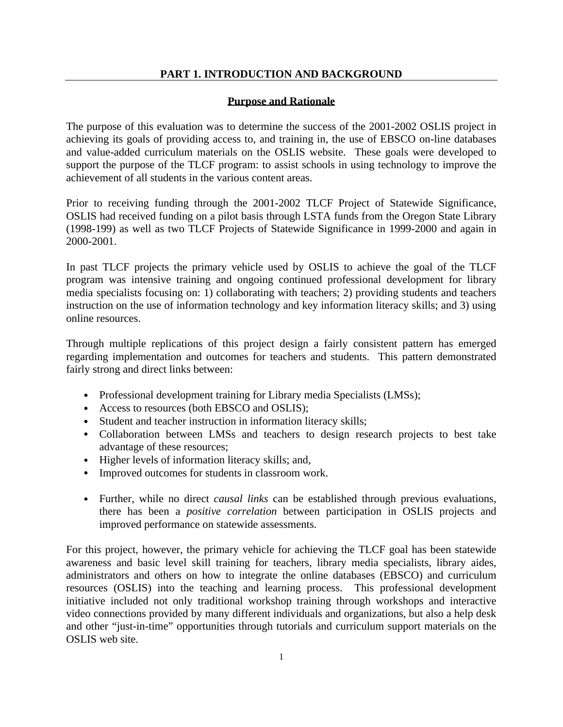# **PART 1. INTRODUCTION AND BACKGROUND**

### **Purpose and Rationale**

The purpose of this evaluation was to determine the success of the 2001-2002 OSLIS project in achieving its goals of providing access to, and training in, the use of EBSCO on-line databases and value-added curriculum materials on the OSLIS website. These goals were developed to support the purpose of the TLCF program: to assist schools in using technology to improve the achievement of all students in the various content areas.

Prior to receiving funding through the 2001-2002 TLCF Project of Statewide Significance, OSLIS had received funding on a pilot basis through LSTA funds from the Oregon State Library (1998-199) as well as two TLCF Projects of Statewide Significance in 1999-2000 and again in 2000-2001.

In past TLCF projects the primary vehicle used by OSLIS to achieve the goal of the TLCF program was intensive training and ongoing continued professional development for library media specialists focusing on: 1) collaborating with teachers; 2) providing students and teachers instruction on the use of information technology and key information literacy skills; and 3) using online resources.

Through multiple replications of this project design a fairly consistent pattern has emerged regarding implementation and outcomes for teachers and students. This pattern demonstrated fairly strong and direct links between:

- **·** Professional development training for Library media Specialists (LMSs);
- **·** Access to resources (both EBSCO and OSLIS);
- **·** Student and teacher instruction in information literacy skills;
- **·** Collaboration between LMSs and teachers to design research projects to best take advantage of these resources;
- **·** Higher levels of information literacy skills; and,
- **·** Improved outcomes for students in classroom work.
- **·** Further, while no direct *causal links* can be established through previous evaluations, there has been a *positive correlation* between participation in OSLIS projects and improved performance on statewide assessments.

For this project, however, the primary vehicle for achieving the TLCF goal has been statewide awareness and basic level skill training for teachers, library media specialists, library aides, administrators and others on how to integrate the online databases (EBSCO) and curriculum resources (OSLIS) into the teaching and learning process. This professional development initiative included not only traditional workshop training through workshops and interactive video connections provided by many different individuals and organizations, but also a help desk and other "just-in-time" opportunities through tutorials and curriculum support materials on the OSLIS web site.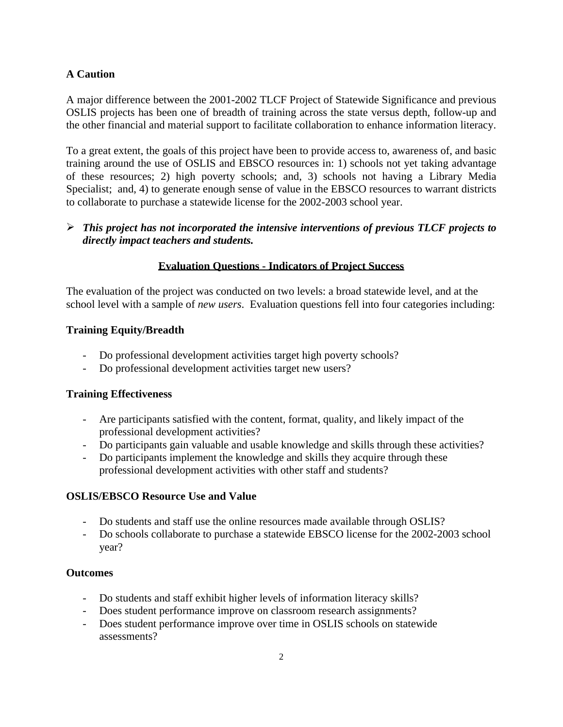# **A Caution**

A major difference between the 2001-2002 TLCF Project of Statewide Significance and previous OSLIS projects has been one of breadth of training across the state versus depth, follow-up and the other financial and material support to facilitate collaboration to enhance information literacy.

To a great extent, the goals of this project have been to provide access to, awareness of, and basic training around the use of OSLIS and EBSCO resources in: 1) schools not yet taking advantage of these resources; 2) high poverty schools; and, 3) schools not having a Library Media Specialist; and, 4) to generate enough sense of value in the EBSCO resources to warrant districts to collaborate to purchase a statewide license for the 2002-2003 school year.

# ÿ *This project has not incorporated the intensive interventions of previous TLCF projects to directly impact teachers and students.*

# **Evaluation Questions - Indicators of Project Success**

The evaluation of the project was conducted on two levels: a broad statewide level, and at the school level with a sample of *new users*. Evaluation questions fell into four categories including:

# **Training Equity/Breadth**

- Do professional development activities target high poverty schools?
- Do professional development activities target new users?

# **Training Effectiveness**

- Are participants satisfied with the content, format, quality, and likely impact of the professional development activities?
- Do participants gain valuable and usable knowledge and skills through these activities?
- Do participants implement the knowledge and skills they acquire through these professional development activities with other staff and students?

# **OSLIS/EBSCO Resource Use and Value**

- Do students and staff use the online resources made available through OSLIS?
- Do schools collaborate to purchase a statewide EBSCO license for the 2002-2003 school year?

# **Outcomes**

- Do students and staff exhibit higher levels of information literacy skills?
- Does student performance improve on classroom research assignments?
- Does student performance improve over time in OSLIS schools on statewide assessments?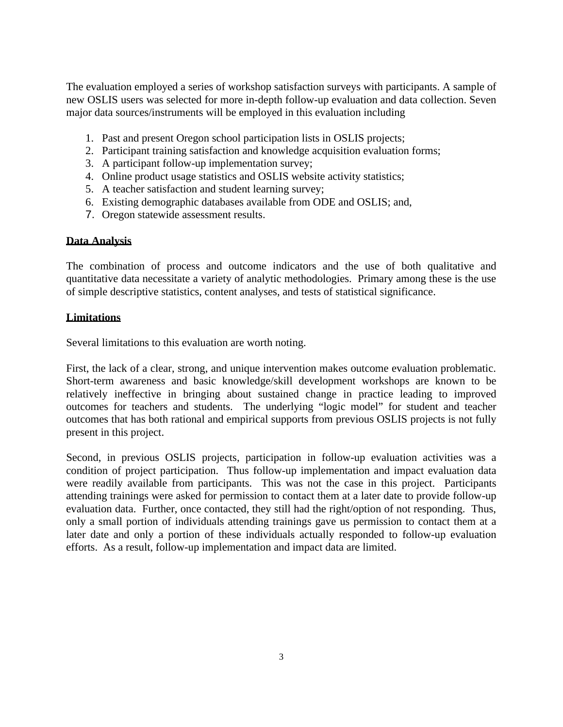The evaluation employed a series of workshop satisfaction surveys with participants. A sample of new OSLIS users was selected for more in-depth follow-up evaluation and data collection. Seven major data sources/instruments will be employed in this evaluation including

- 1. Past and present Oregon school participation lists in OSLIS projects;
- 2. Participant training satisfaction and knowledge acquisition evaluation forms;
- 3. A participant follow-up implementation survey;
- 4. Online product usage statistics and OSLIS website activity statistics;
- 5. A teacher satisfaction and student learning survey;
- 6. Existing demographic databases available from ODE and OSLIS; and,
- 7. Oregon statewide assessment results.

# **Data Analysis**

The combination of process and outcome indicators and the use of both qualitative and quantitative data necessitate a variety of analytic methodologies. Primary among these is the use of simple descriptive statistics, content analyses, and tests of statistical significance.

## **Limitations**

Several limitations to this evaluation are worth noting.

First, the lack of a clear, strong, and unique intervention makes outcome evaluation problematic. Short-term awareness and basic knowledge/skill development workshops are known to be relatively ineffective in bringing about sustained change in practice leading to improved outcomes for teachers and students. The underlying "logic model" for student and teacher outcomes that has both rational and empirical supports from previous OSLIS projects is not fully present in this project.

Second, in previous OSLIS projects, participation in follow-up evaluation activities was a condition of project participation. Thus follow-up implementation and impact evaluation data were readily available from participants. This was not the case in this project. Participants attending trainings were asked for permission to contact them at a later date to provide follow-up evaluation data. Further, once contacted, they still had the right/option of not responding. Thus, only a small portion of individuals attending trainings gave us permission to contact them at a later date and only a portion of these individuals actually responded to follow-up evaluation efforts. As a result, follow-up implementation and impact data are limited.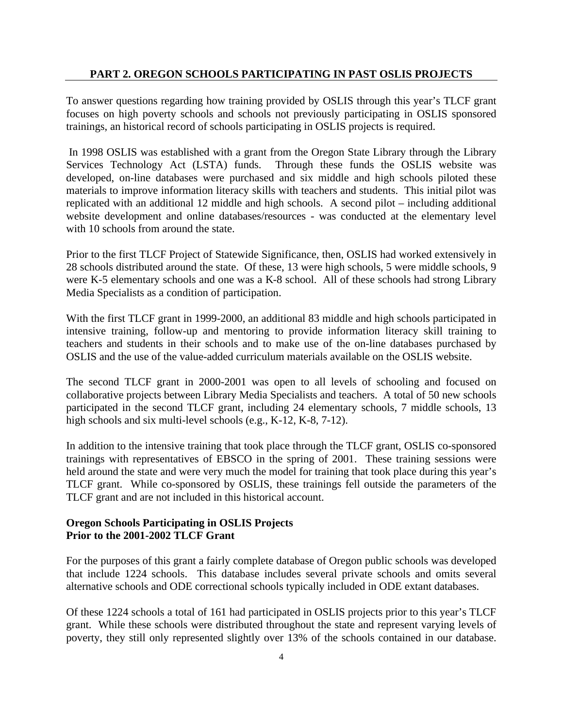### **PART 2. OREGON SCHOOLS PARTICIPATING IN PAST OSLIS PROJECTS**

To answer questions regarding how training provided by OSLIS through this year's TLCF grant focuses on high poverty schools and schools not previously participating in OSLIS sponsored trainings, an historical record of schools participating in OSLIS projects is required.

 In 1998 OSLIS was established with a grant from the Oregon State Library through the Library Services Technology Act (LSTA) funds. Through these funds the OSLIS website was developed, on-line databases were purchased and six middle and high schools piloted these materials to improve information literacy skills with teachers and students. This initial pilot was replicated with an additional 12 middle and high schools. A second pilot – including additional website development and online databases/resources - was conducted at the elementary level with 10 schools from around the state.

Prior to the first TLCF Project of Statewide Significance, then, OSLIS had worked extensively in 28 schools distributed around the state. Of these, 13 were high schools, 5 were middle schools, 9 were K-5 elementary schools and one was a K-8 school. All of these schools had strong Library Media Specialists as a condition of participation.

With the first TLCF grant in 1999-2000, an additional 83 middle and high schools participated in intensive training, follow-up and mentoring to provide information literacy skill training to teachers and students in their schools and to make use of the on-line databases purchased by OSLIS and the use of the value-added curriculum materials available on the OSLIS website.

The second TLCF grant in 2000-2001 was open to all levels of schooling and focused on collaborative projects between Library Media Specialists and teachers. A total of 50 new schools participated in the second TLCF grant, including 24 elementary schools, 7 middle schools, 13 high schools and six multi-level schools (e.g., K-12, K-8, 7-12).

In addition to the intensive training that took place through the TLCF grant, OSLIS co-sponsored trainings with representatives of EBSCO in the spring of 2001. These training sessions were held around the state and were very much the model for training that took place during this year's TLCF grant. While co-sponsored by OSLIS, these trainings fell outside the parameters of the TLCF grant and are not included in this historical account.

## **Oregon Schools Participating in OSLIS Projects Prior to the 2001-2002 TLCF Grant**

For the purposes of this grant a fairly complete database of Oregon public schools was developed that include 1224 schools. This database includes several private schools and omits several alternative schools and ODE correctional schools typically included in ODE extant databases.

Of these 1224 schools a total of 161 had participated in OSLIS projects prior to this year's TLCF grant. While these schools were distributed throughout the state and represent varying levels of poverty, they still only represented slightly over 13% of the schools contained in our database.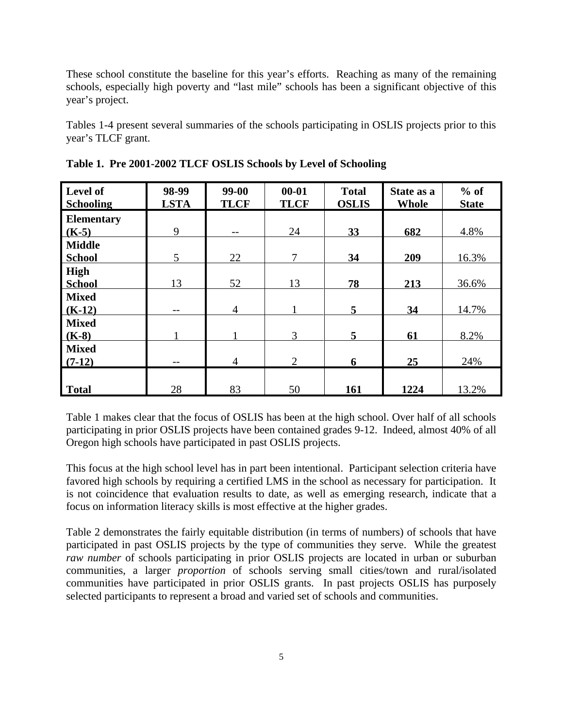These school constitute the baseline for this year's efforts. Reaching as many of the remaining schools, especially high poverty and "last mile" schools has been a significant objective of this year's project.

Tables 1-4 present several summaries of the schools participating in OSLIS projects prior to this year's TLCF grant.

| Level of<br><b>Schooling</b>   | 98-99<br><b>LSTA</b> | $99-00$<br><b>TLCF</b> | $00 - 01$<br><b>TLCF</b> | <b>Total</b><br><b>OSLIS</b> | State as a<br><b>Whole</b> | $%$ of<br><b>State</b> |
|--------------------------------|----------------------|------------------------|--------------------------|------------------------------|----------------------------|------------------------|
| <b>Elementary</b><br>$(K-5)$   | 9                    | --                     | 24                       | 33                           | 682                        | 4.8%                   |
| <b>Middle</b><br><b>School</b> | 5                    | 22                     | 7                        | 34                           | 209                        | 16.3%                  |
| High<br><b>School</b>          | 13                   | 52                     | 13                       | 78                           | 213                        | 36.6%                  |
| <b>Mixed</b><br>$(K-12)$       | --                   | 4                      |                          | $5\overline{)}$              | 34                         | 14.7%                  |
| <b>Mixed</b><br>$(K-8)$        |                      |                        | 3                        | 5                            | 61                         | 8.2%                   |
| <b>Mixed</b><br>$(7-12)$       |                      | 4                      | $\overline{2}$           | 6                            | 25                         | 24%                    |
| <b>Total</b>                   | 28                   | 83                     | 50                       | 161                          | 1224                       | 13.2%                  |

**Table 1. Pre 2001-2002 TLCF OSLIS Schools by Level of Schooling**

Table 1 makes clear that the focus of OSLIS has been at the high school. Over half of all schools participating in prior OSLIS projects have been contained grades 9-12. Indeed, almost 40% of all Oregon high schools have participated in past OSLIS projects.

This focus at the high school level has in part been intentional. Participant selection criteria have favored high schools by requiring a certified LMS in the school as necessary for participation. It is not coincidence that evaluation results to date, as well as emerging research, indicate that a focus on information literacy skills is most effective at the higher grades.

Table 2 demonstrates the fairly equitable distribution (in terms of numbers) of schools that have participated in past OSLIS projects by the type of communities they serve. While the greatest *raw number* of schools participating in prior OSLIS projects are located in urban or suburban communities, a larger *proportion* of schools serving small cities/town and rural/isolated communities have participated in prior OSLIS grants. In past projects OSLIS has purposely selected participants to represent a broad and varied set of schools and communities.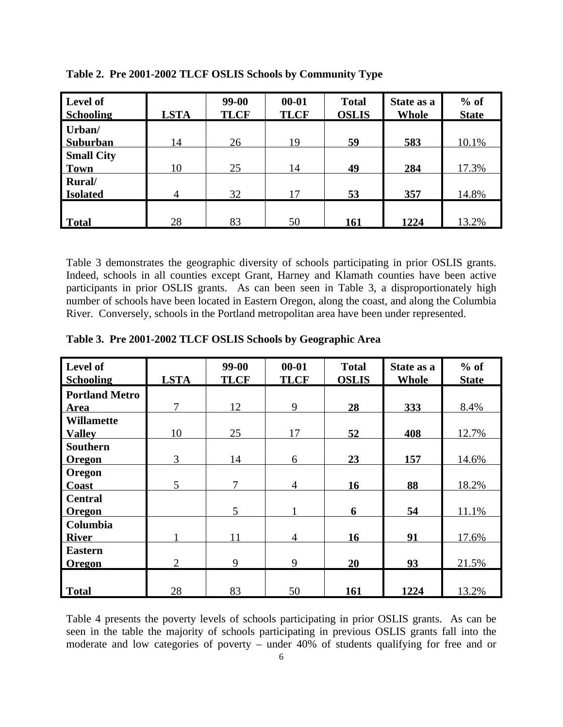| Level of<br><b>Schooling</b>     | <b>LSTA</b> | 99-00<br><b>TLCF</b> | $00 - 01$<br><b>TLCF</b> | <b>Total</b><br><b>OSLIS</b> | State as a<br><b>Whole</b> | $%$ of<br><b>State</b> |
|----------------------------------|-------------|----------------------|--------------------------|------------------------------|----------------------------|------------------------|
| Urban/<br><b>Suburban</b>        | 14          | 26                   | 19                       | 59                           | 583                        | 10.1%                  |
| <b>Small City</b><br><b>Town</b> | 10          | 25                   | 14                       | 49                           | 284                        | 17.3%                  |
| <b>Rural</b><br><b>Isolated</b>  | 4           | 32                   | 17                       | 53                           | 357                        | 14.8%                  |
| Total                            | 28          | 83                   | 50                       | 161                          | 1224                       | 13.2%                  |

**Table 2. Pre 2001-2002 TLCF OSLIS Schools by Community Type**

Table 3 demonstrates the geographic diversity of schools participating in prior OSLIS grants. Indeed, schools in all counties except Grant, Harney and Klamath counties have been active participants in prior OSLIS grants. As can been seen in Table 3, a disproportionately high number of schools have been located in Eastern Oregon, along the coast, and along the Columbia River. Conversely, schools in the Portland metropolitan area have been under represented.

| Level of              |                | 99-00       | $00 - 01$      | <b>Total</b> | State as a   | $%$ of       |
|-----------------------|----------------|-------------|----------------|--------------|--------------|--------------|
| <b>Schooling</b>      | <b>LSTA</b>    | <b>TLCF</b> | <b>TLCF</b>    | <b>OSLIS</b> | <b>Whole</b> | <b>State</b> |
| <b>Portland Metro</b> |                |             |                |              |              |              |
| <b>Area</b>           | 7              | 12          | 9              | 28           | 333          | 8.4%         |
| <b>Willamette</b>     |                |             |                |              |              |              |
| <b>Valley</b>         | 10             | 25          | 17             | 52           | 408          | 12.7%        |
| <b>Southern</b>       |                |             |                |              |              |              |
| <b>Oregon</b>         | 3              | 14          | 6              | 23           | 157          | 14.6%        |
| Oregon                |                |             |                |              |              |              |
| Coast                 | 5              | $\tau$      | $\overline{4}$ | <b>16</b>    | 88           | 18.2%        |
| <b>Central</b>        |                |             |                |              |              |              |
| <b>Oregon</b>         |                | 5           |                | 6            | 54           | 11.1%        |
| Columbia              |                |             |                |              |              |              |
| <b>River</b>          |                | 11          | $\overline{4}$ | <b>16</b>    | 91           | 17.6%        |
| <b>Eastern</b>        |                |             |                |              |              |              |
| Oregon                | $\overline{2}$ | 9           | 9              | 20           | 93           | 21.5%        |
|                       |                |             |                |              |              |              |
| Total                 | 28             | 83          | 50             | 161          | 1224         | 13.2%        |

**Table 3. Pre 2001-2002 TLCF OSLIS Schools by Geographic Area**

Table 4 presents the poverty levels of schools participating in prior OSLIS grants. As can be seen in the table the majority of schools participating in previous OSLIS grants fall into the moderate and low categories of poverty – under 40% of students qualifying for free and or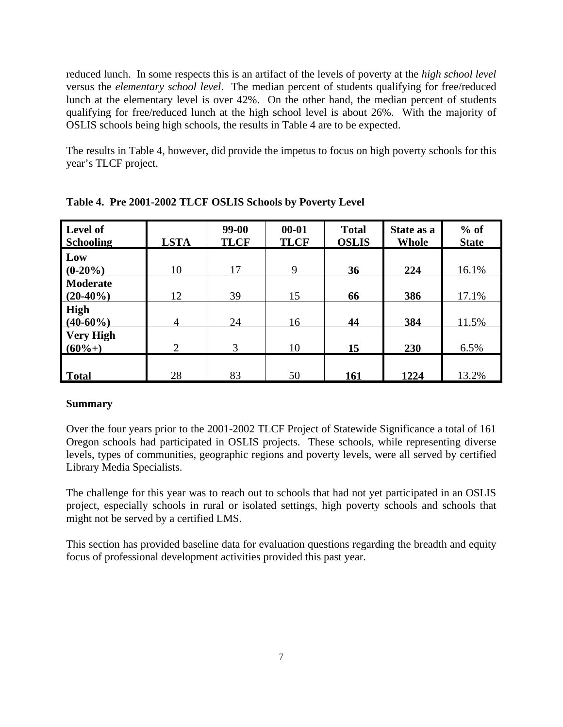reduced lunch. In some respects this is an artifact of the levels of poverty at the *high school level* versus the *elementary school level*. The median percent of students qualifying for free/reduced lunch at the elementary level is over 42%. On the other hand, the median percent of students qualifying for free/reduced lunch at the high school level is about 26%. With the majority of OSLIS schools being high schools, the results in Table 4 are to be expected.

The results in Table 4, however, did provide the impetus to focus on high poverty schools for this year's TLCF project.

| Level of<br><b>Schooling</b>   | <b>LSTA</b>   | $99-00$<br><b>TLCF</b> | $00 - 01$<br><b>TLCF</b> | <b>Total</b><br><b>OSLIS</b> | State as a<br><b>Whole</b> | $%$ of<br><b>State</b> |
|--------------------------------|---------------|------------------------|--------------------------|------------------------------|----------------------------|------------------------|
| Low<br>$(0-20\%)$              | 10            | 17                     | 9                        | 36                           | 224                        | 16.1%                  |
| <b>Moderate</b><br>$(20-40\%)$ | 12            | 39                     | 15                       | 66                           | 386                        | 17.1%                  |
| High<br>$(40-60\%)$            | 4             | 24                     | 16                       | 44                           | 384                        | 11.5%                  |
| <b>Very High</b><br>$(60%+)$   | $\mathcal{D}$ | 3                      | 10                       | 15                           | 230                        | 6.5%                   |
| Total                          | 28            | 83                     | 50                       | 161                          | 1224                       | 13.2%                  |

**Table 4. Pre 2001-2002 TLCF OSLIS Schools by Poverty Level**

# **Summary**

Over the four years prior to the 2001-2002 TLCF Project of Statewide Significance a total of 161 Oregon schools had participated in OSLIS projects. These schools, while representing diverse levels, types of communities, geographic regions and poverty levels, were all served by certified Library Media Specialists.

The challenge for this year was to reach out to schools that had not yet participated in an OSLIS project, especially schools in rural or isolated settings, high poverty schools and schools that might not be served by a certified LMS.

This section has provided baseline data for evaluation questions regarding the breadth and equity focus of professional development activities provided this past year.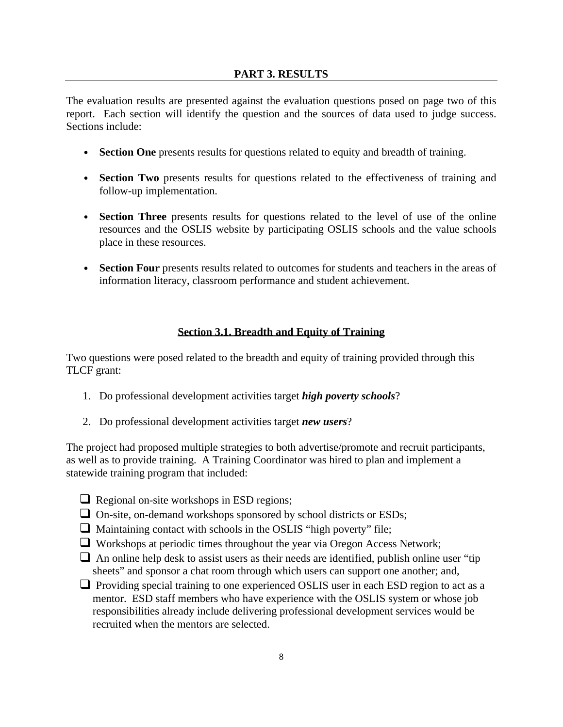The evaluation results are presented against the evaluation questions posed on page two of this report. Each section will identify the question and the sources of data used to judge success. Sections include:

- **Section One** presents results for questions related to equity and breadth of training.
- **Section Two** presents results for questions related to the effectiveness of training and follow-up implementation.
- **Section Three** presents results for questions related to the level of use of the online resources and the OSLIS website by participating OSLIS schools and the value schools place in these resources.
- **Section Four** presents results related to outcomes for students and teachers in the areas of information literacy, classroom performance and student achievement.

# **Section 3.1. Breadth and Equity of Training**

Two questions were posed related to the breadth and equity of training provided through this TLCF grant:

- 1. Do professional development activities target *high poverty schools*?
- 2. Do professional development activities target *new users*?

The project had proposed multiple strategies to both advertise/promote and recruit participants, as well as to provide training. A Training Coordinator was hired to plan and implement a statewide training program that included:

- $\Box$  Regional on-site workshops in ESD regions;
- $\Box$  On-site, on-demand workshops sponsored by school districts or ESDs;
- $\Box$  Maintaining contact with schools in the OSLIS "high poverty" file;
- $\Box$  Workshops at periodic times throughout the year via Oregon Access Network;
- $\Box$  An online help desk to assist users as their needs are identified, publish online user "tip" sheets" and sponsor a chat room through which users can support one another; and,
- $\Box$  Providing special training to one experienced OSLIS user in each ESD region to act as a mentor. ESD staff members who have experience with the OSLIS system or whose job responsibilities already include delivering professional development services would be recruited when the mentors are selected.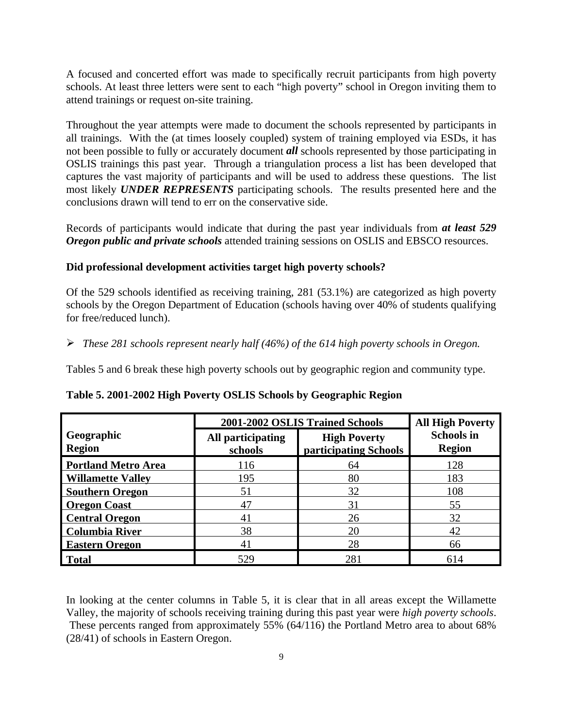A focused and concerted effort was made to specifically recruit participants from high poverty schools. At least three letters were sent to each "high poverty" school in Oregon inviting them to attend trainings or request on-site training.

Throughout the year attempts were made to document the schools represented by participants in all trainings. With the (at times loosely coupled) system of training employed via ESDs, it has not been possible to fully or accurately document *all* schools represented by those participating in OSLIS trainings this past year. Through a triangulation process a list has been developed that captures the vast majority of participants and will be used to address these questions. The list most likely *UNDER REPRESENTS* participating schools. The results presented here and the conclusions drawn will tend to err on the conservative side.

Records of participants would indicate that during the past year individuals from *at least 529 Oregon public and private schools* attended training sessions on OSLIS and EBSCO resources.

# **Did professional development activities target high poverty schools?**

Of the 529 schools identified as receiving training, 281 (53.1%) are categorized as high poverty schools by the Oregon Department of Education (schools having over 40% of students qualifying for free/reduced lunch).

ÿ *These 281 schools represent nearly half (46%) of the 614 high poverty schools in Oregon.* 

Tables 5 and 6 break these high poverty schools out by geographic region and community type.

|                             |                              | 2001-2002 OSLIS Trained Schools              |                                    |  |  |  |
|-----------------------------|------------------------------|----------------------------------------------|------------------------------------|--|--|--|
| Geographic<br><b>Region</b> | All participating<br>schools | <b>High Poverty</b><br>participating Schools | <b>Schools in</b><br><b>Region</b> |  |  |  |
| <b>Portland Metro Area</b>  | 116                          | 64                                           | 128                                |  |  |  |
| <b>Willamette Valley</b>    | 195                          | 80                                           | 183                                |  |  |  |
| <b>Southern Oregon</b>      | 51                           | 32                                           | 108                                |  |  |  |
| <b>Oregon Coast</b>         | 47                           | 31                                           | 55                                 |  |  |  |
| <b>Central Oregon</b>       | 41                           | 26                                           | 32                                 |  |  |  |
| <b>Columbia River</b>       | 38                           | 20                                           | 42                                 |  |  |  |
| <b>Eastern Oregon</b>       | 41                           | 28                                           | 66                                 |  |  |  |
| <b>Total</b>                | 529                          | 281                                          | 614                                |  |  |  |

#### **Table 5. 2001-2002 High Poverty OSLIS Schools by Geographic Region**

In looking at the center columns in Table 5, it is clear that in all areas except the Willamette Valley, the majority of schools receiving training during this past year were *high poverty schools*. These percents ranged from approximately 55% (64/116) the Portland Metro area to about 68% (28/41) of schools in Eastern Oregon.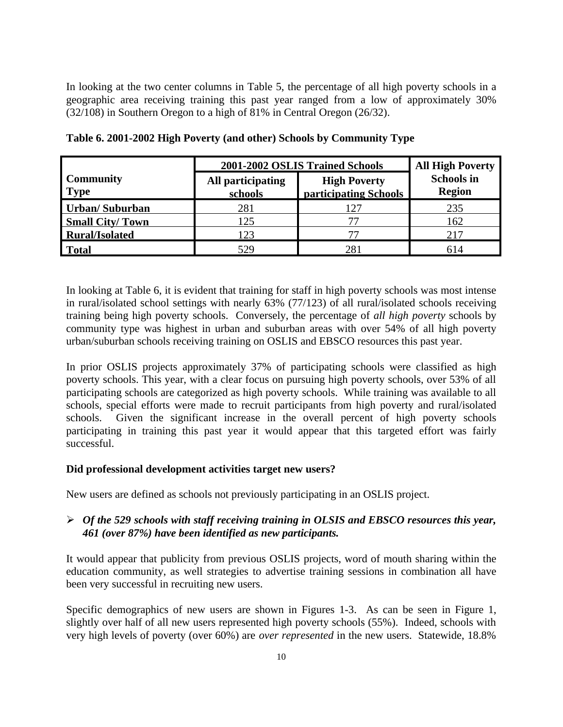In looking at the two center columns in Table 5, the percentage of all high poverty schools in a geographic area receiving training this past year ranged from a low of approximately 30% (32/108) in Southern Oregon to a high of 81% in Central Oregon (26/32).

|                                 | 2001-2002 OSLIS Trained Schools | <b>All High Poverty</b>                      |                                    |
|---------------------------------|---------------------------------|----------------------------------------------|------------------------------------|
| <b>Community</b><br><b>Type</b> | All participating<br>schools    | <b>High Poverty</b><br>participating Schools | <b>Schools in</b><br><b>Region</b> |
| <b>Urban/Suburban</b>           | 281                             | 127                                          | 235                                |
| <b>Small City/Town</b>          | 125                             |                                              | 162                                |
| <b>Rural/Isolated</b>           | 123                             |                                              | 217                                |
| Total                           | 529                             | 281                                          | 614                                |

**Table 6. 2001-2002 High Poverty (and other) Schools by Community Type**

In looking at Table 6, it is evident that training for staff in high poverty schools was most intense in rural/isolated school settings with nearly 63% (77/123) of all rural/isolated schools receiving training being high poverty schools. Conversely, the percentage of *all high poverty* schools by community type was highest in urban and suburban areas with over 54% of all high poverty urban/suburban schools receiving training on OSLIS and EBSCO resources this past year.

In prior OSLIS projects approximately 37% of participating schools were classified as high poverty schools. This year, with a clear focus on pursuing high poverty schools, over 53% of all participating schools are categorized as high poverty schools. While training was available to all schools, special efforts were made to recruit participants from high poverty and rural/isolated schools. Given the significant increase in the overall percent of high poverty schools participating in training this past year it would appear that this targeted effort was fairly successful.

# **Did professional development activities target new users?**

New users are defined as schools not previously participating in an OSLIS project.

# ÿ *Of the 529 schools with staff receiving training in OLSIS and EBSCO resources this year, 461 (over 87%) have been identified as new participants.*

It would appear that publicity from previous OSLIS projects, word of mouth sharing within the education community, as well strategies to advertise training sessions in combination all have been very successful in recruiting new users.

Specific demographics of new users are shown in Figures 1-3. As can be seen in Figure 1, slightly over half of all new users represented high poverty schools (55%). Indeed, schools with very high levels of poverty (over 60%) are *over represented* in the new users. Statewide, 18.8%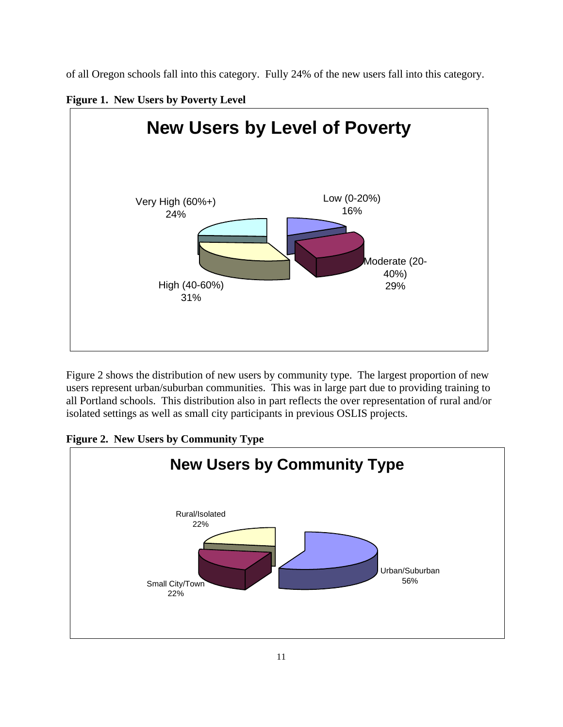of all Oregon schools fall into this category. Fully 24% of the new users fall into this category.

**Figure 1. New Users by Poverty Level**



Figure 2 shows the distribution of new users by community type. The largest proportion of new users represent urban/suburban communities. This was in large part due to providing training to all Portland schools. This distribution also in part reflects the over representation of rural and/or isolated settings as well as small city participants in previous OSLIS projects.

**Figure 2. New Users by Community Type**

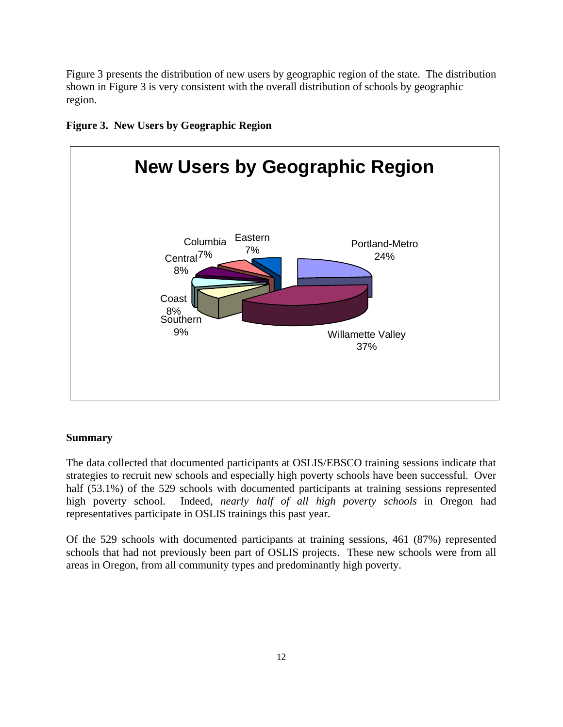Figure 3 presents the distribution of new users by geographic region of the state. The distribution shown in Figure 3 is very consistent with the overall distribution of schools by geographic region.





# **Summary**

The data collected that documented participants at OSLIS/EBSCO training sessions indicate that strategies to recruit new schools and especially high poverty schools have been successful. Over half (53.1%) of the 529 schools with documented participants at training sessions represented high poverty school. Indeed, *nearly half of all high poverty schools* in Oregon had representatives participate in OSLIS trainings this past year.

Of the 529 schools with documented participants at training sessions, 461 (87%) represented schools that had not previously been part of OSLIS projects. These new schools were from all areas in Oregon, from all community types and predominantly high poverty.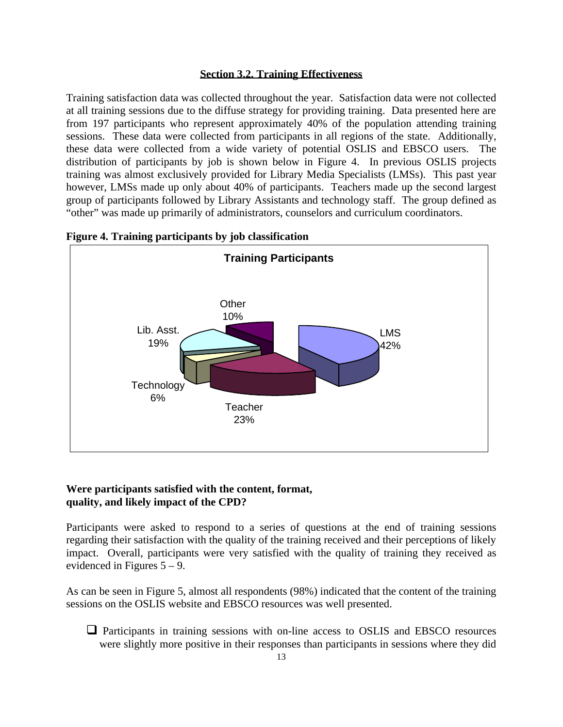## **Section 3.2. Training Effectiveness**

Training satisfaction data was collected throughout the year. Satisfaction data were not collected at all training sessions due to the diffuse strategy for providing training. Data presented here are from 197 participants who represent approximately 40% of the population attending training sessions. These data were collected from participants in all regions of the state. Additionally, these data were collected from a wide variety of potential OSLIS and EBSCO users. The distribution of participants by job is shown below in Figure 4. In previous OSLIS projects training was almost exclusively provided for Library Media Specialists (LMSs). This past year however, LMSs made up only about 40% of participants. Teachers made up the second largest group of participants followed by Library Assistants and technology staff. The group defined as "other" was made up primarily of administrators, counselors and curriculum coordinators.



**Figure 4. Training participants by job classification**

## **Were participants satisfied with the content, format, quality, and likely impact of the CPD?**

Participants were asked to respond to a series of questions at the end of training sessions regarding their satisfaction with the quality of the training received and their perceptions of likely impact. Overall, participants were very satisfied with the quality of training they received as evidenced in Figures 5 – 9.

As can be seen in Figure 5, almost all respondents (98%) indicated that the content of the training sessions on the OSLIS website and EBSCO resources was well presented.

 $\Box$  Participants in training sessions with on-line access to OSLIS and EBSCO resources were slightly more positive in their responses than participants in sessions where they did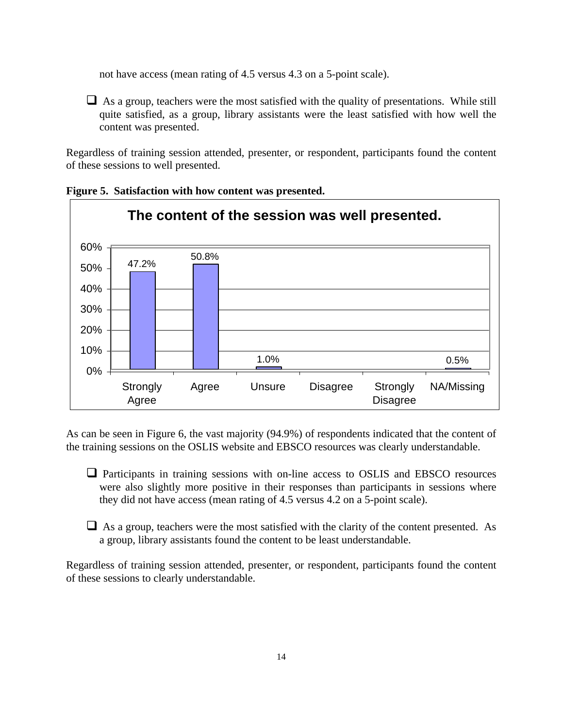not have access (mean rating of 4.5 versus 4.3 on a 5-point scale).

 $\Box$  As a group, teachers were the most satisfied with the quality of presentations. While still quite satisfied, as a group, library assistants were the least satisfied with how well the content was presented.

Regardless of training session attended, presenter, or respondent, participants found the content of these sessions to well presented.





As can be seen in Figure 6, the vast majority (94.9%) of respondents indicated that the content of the training sessions on the OSLIS website and EBSCO resources was clearly understandable.

 $\Box$  Participants in training sessions with on-line access to OSLIS and EBSCO resources were also slightly more positive in their responses than participants in sessions where they did not have access (mean rating of 4.5 versus 4.2 on a 5-point scale).

 $\Box$  As a group, teachers were the most satisfied with the clarity of the content presented. As a group, library assistants found the content to be least understandable.

Regardless of training session attended, presenter, or respondent, participants found the content of these sessions to clearly understandable.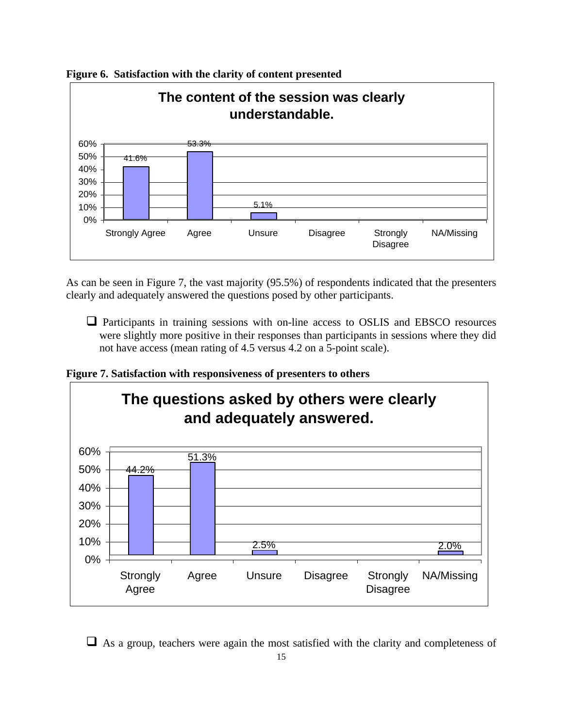

**Figure 6. Satisfaction with the clarity of content presented**

As can be seen in Figure 7, the vast majority (95.5%) of respondents indicated that the presenters clearly and adequately answered the questions posed by other participants.

 $\Box$  Participants in training sessions with on-line access to OSLIS and EBSCO resources were slightly more positive in their responses than participants in sessions where they did not have access (mean rating of 4.5 versus 4.2 on a 5-point scale).

**Figure 7. Satisfaction with responsiveness of presenters to others**



 $\Box$  As a group, teachers were again the most satisfied with the clarity and completeness of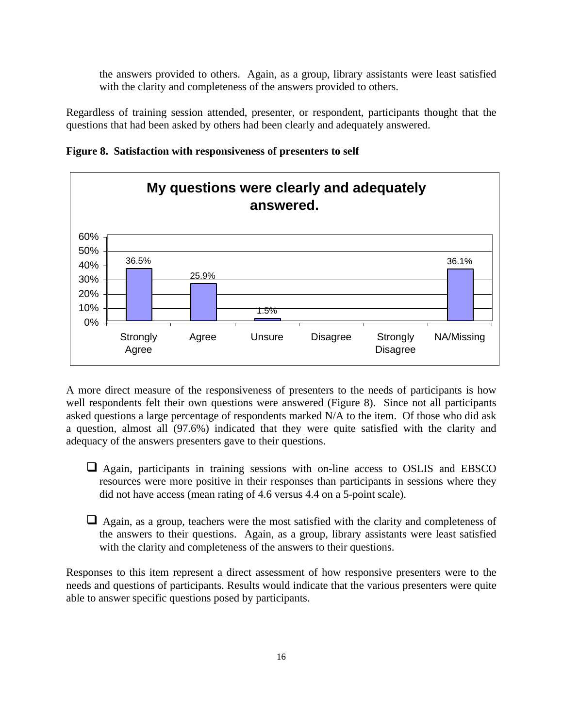the answers provided to others. Again, as a group, library assistants were least satisfied with the clarity and completeness of the answers provided to others.

Regardless of training session attended, presenter, or respondent, participants thought that the questions that had been asked by others had been clearly and adequately answered.





A more direct measure of the responsiveness of presenters to the needs of participants is how well respondents felt their own questions were answered (Figure 8). Since not all participants asked questions a large percentage of respondents marked N/A to the item. Of those who did ask a question, almost all (97.6%) indicated that they were quite satisfied with the clarity and adequacy of the answers presenters gave to their questions.

- $\Box$  Again, participants in training sessions with on-line access to OSLIS and EBSCO resources were more positive in their responses than participants in sessions where they did not have access (mean rating of 4.6 versus 4.4 on a 5-point scale).
- $\Box$  Again, as a group, teachers were the most satisfied with the clarity and completeness of the answers to their questions. Again, as a group, library assistants were least satisfied with the clarity and completeness of the answers to their questions.

Responses to this item represent a direct assessment of how responsive presenters were to the needs and questions of participants. Results would indicate that the various presenters were quite able to answer specific questions posed by participants.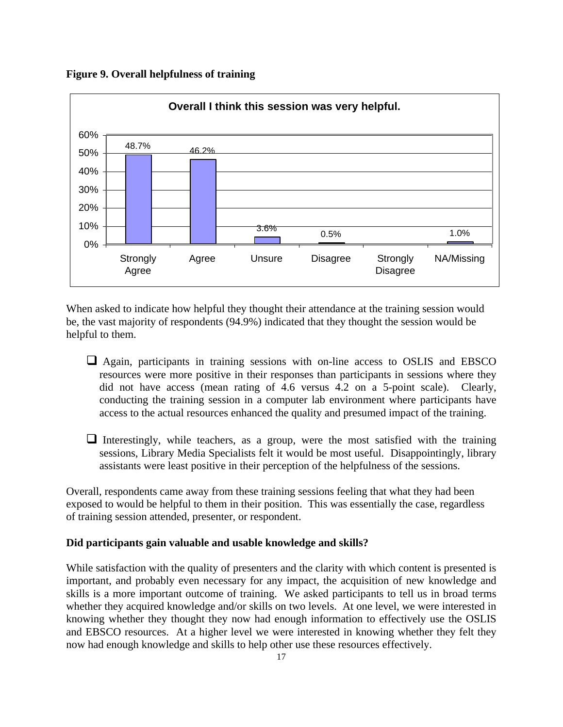**Figure 9. Overall helpfulness of training**



When asked to indicate how helpful they thought their attendance at the training session would be, the vast majority of respondents (94.9%) indicated that they thought the session would be helpful to them.

- $\Box$  Again, participants in training sessions with on-line access to OSLIS and EBSCO resources were more positive in their responses than participants in sessions where they did not have access (mean rating of 4.6 versus 4.2 on a 5-point scale). Clearly, conducting the training session in a computer lab environment where participants have access to the actual resources enhanced the quality and presumed impact of the training.
- $\Box$  Interestingly, while teachers, as a group, were the most satisfied with the training sessions, Library Media Specialists felt it would be most useful. Disappointingly, library assistants were least positive in their perception of the helpfulness of the sessions.

Overall, respondents came away from these training sessions feeling that what they had been exposed to would be helpful to them in their position. This was essentially the case, regardless of training session attended, presenter, or respondent.

#### **Did participants gain valuable and usable knowledge and skills?**

While satisfaction with the quality of presenters and the clarity with which content is presented is important, and probably even necessary for any impact, the acquisition of new knowledge and skills is a more important outcome of training. We asked participants to tell us in broad terms whether they acquired knowledge and/or skills on two levels. At one level, we were interested in knowing whether they thought they now had enough information to effectively use the OSLIS and EBSCO resources. At a higher level we were interested in knowing whether they felt they now had enough knowledge and skills to help other use these resources effectively.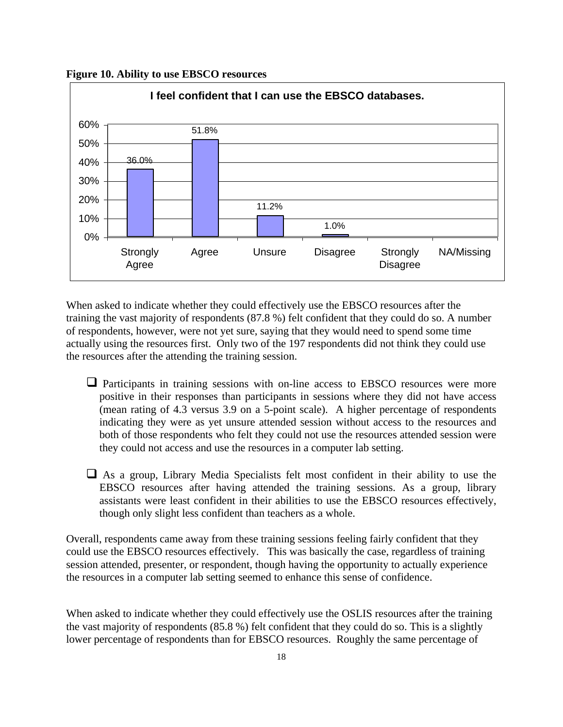**Figure 10. Ability to use EBSCO resources**



When asked to indicate whether they could effectively use the EBSCO resources after the training the vast majority of respondents (87.8 %) felt confident that they could do so. A number of respondents, however, were not yet sure, saying that they would need to spend some time actually using the resources first. Only two of the 197 respondents did not think they could use the resources after the attending the training session.

- $\Box$  Participants in training sessions with on-line access to EBSCO resources were more positive in their responses than participants in sessions where they did not have access (mean rating of 4.3 versus 3.9 on a 5-point scale). A higher percentage of respondents indicating they were as yet unsure attended session without access to the resources and both of those respondents who felt they could not use the resources attended session were they could not access and use the resources in a computer lab setting.
- $\Box$  As a group, Library Media Specialists felt most confident in their ability to use the EBSCO resources after having attended the training sessions. As a group, library assistants were least confident in their abilities to use the EBSCO resources effectively, though only slight less confident than teachers as a whole.

Overall, respondents came away from these training sessions feeling fairly confident that they could use the EBSCO resources effectively. This was basically the case, regardless of training session attended, presenter, or respondent, though having the opportunity to actually experience the resources in a computer lab setting seemed to enhance this sense of confidence.

When asked to indicate whether they could effectively use the OSLIS resources after the training the vast majority of respondents (85.8 %) felt confident that they could do so. This is a slightly lower percentage of respondents than for EBSCO resources. Roughly the same percentage of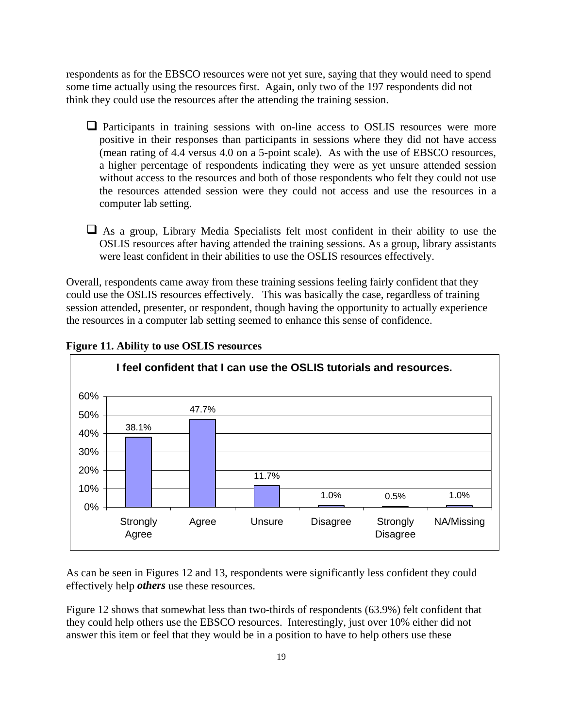respondents as for the EBSCO resources were not yet sure, saying that they would need to spend some time actually using the resources first. Again, only two of the 197 respondents did not think they could use the resources after the attending the training session.

- $\Box$  Participants in training sessions with on-line access to OSLIS resources were more positive in their responses than participants in sessions where they did not have access (mean rating of 4.4 versus 4.0 on a 5-point scale). As with the use of EBSCO resources, a higher percentage of respondents indicating they were as yet unsure attended session without access to the resources and both of those respondents who felt they could not use the resources attended session were they could not access and use the resources in a computer lab setting.
- $\Box$  As a group, Library Media Specialists felt most confident in their ability to use the OSLIS resources after having attended the training sessions. As a group, library assistants were least confident in their abilities to use the OSLIS resources effectively.

Overall, respondents came away from these training sessions feeling fairly confident that they could use the OSLIS resources effectively. This was basically the case, regardless of training session attended, presenter, or respondent, though having the opportunity to actually experience the resources in a computer lab setting seemed to enhance this sense of confidence.



**Figure 11. Ability to use OSLIS resources**

As can be seen in Figures 12 and 13, respondents were significantly less confident they could effectively help *others* use these resources.

Figure 12 shows that somewhat less than two-thirds of respondents (63.9%) felt confident that they could help others use the EBSCO resources. Interestingly, just over 10% either did not answer this item or feel that they would be in a position to have to help others use these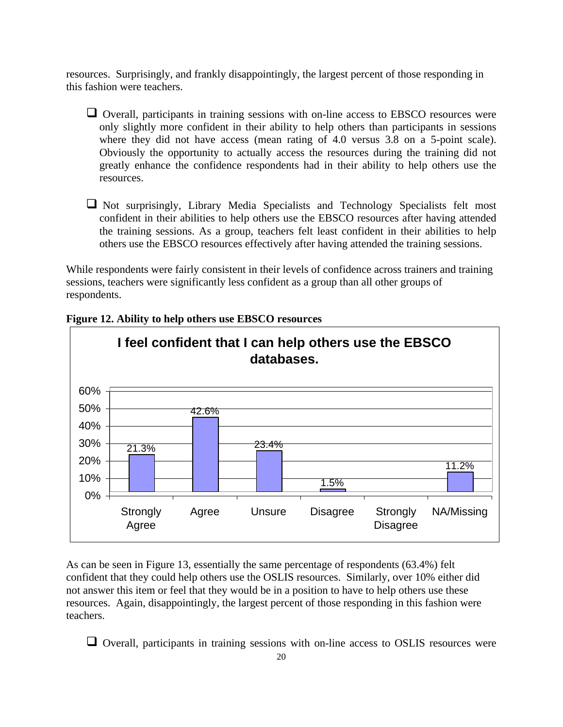resources. Surprisingly, and frankly disappointingly, the largest percent of those responding in this fashion were teachers.

- $\Box$  Overall, participants in training sessions with on-line access to EBSCO resources were only slightly more confident in their ability to help others than participants in sessions where they did not have access (mean rating of 4.0 versus 3.8 on a 5-point scale). Obviously the opportunity to actually access the resources during the training did not greatly enhance the confidence respondents had in their ability to help others use the resources.
- $\Box$  Not surprisingly, Library Media Specialists and Technology Specialists felt most confident in their abilities to help others use the EBSCO resources after having attended the training sessions. As a group, teachers felt least confident in their abilities to help others use the EBSCO resources effectively after having attended the training sessions.

While respondents were fairly consistent in their levels of confidence across trainers and training sessions, teachers were significantly less confident as a group than all other groups of respondents.



#### **Figure 12. Ability to help others use EBSCO resources**

As can be seen in Figure 13, essentially the same percentage of respondents (63.4%) felt confident that they could help others use the OSLIS resources. Similarly, over 10% either did not answer this item or feel that they would be in a position to have to help others use these resources. Again, disappointingly, the largest percent of those responding in this fashion were teachers.

 $\Box$  Overall, participants in training sessions with on-line access to OSLIS resources were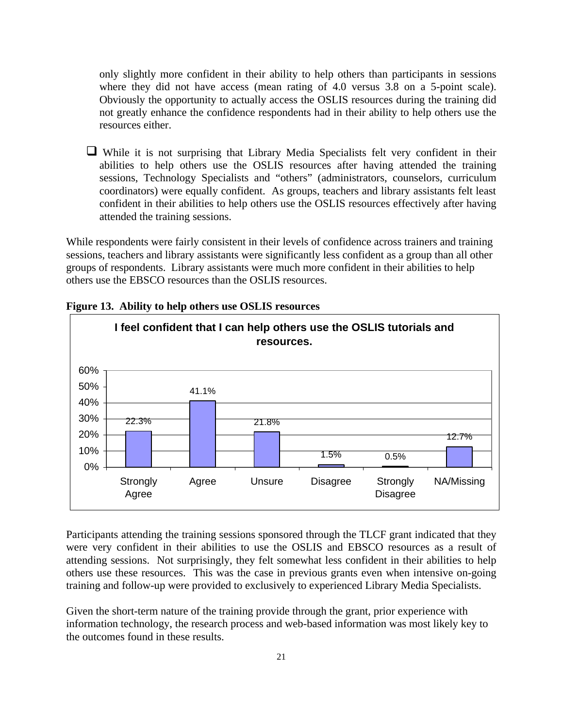only slightly more confident in their ability to help others than participants in sessions where they did not have access (mean rating of 4.0 versus 3.8 on a 5-point scale). Obviously the opportunity to actually access the OSLIS resources during the training did not greatly enhance the confidence respondents had in their ability to help others use the resources either.

 $\Box$  While it is not surprising that Library Media Specialists felt very confident in their abilities to help others use the OSLIS resources after having attended the training sessions, Technology Specialists and "others" (administrators, counselors, curriculum coordinators) were equally confident. As groups, teachers and library assistants felt least confident in their abilities to help others use the OSLIS resources effectively after having attended the training sessions.

While respondents were fairly consistent in their levels of confidence across trainers and training sessions, teachers and library assistants were significantly less confident as a group than all other groups of respondents. Library assistants were much more confident in their abilities to help others use the EBSCO resources than the OSLIS resources.



**Figure 13. Ability to help others use OSLIS resources**

Participants attending the training sessions sponsored through the TLCF grant indicated that they were very confident in their abilities to use the OSLIS and EBSCO resources as a result of attending sessions. Not surprisingly, they felt somewhat less confident in their abilities to help others use these resources. This was the case in previous grants even when intensive on-going training and follow-up were provided to exclusively to experienced Library Media Specialists.

Given the short-term nature of the training provide through the grant, prior experience with information technology, the research process and web-based information was most likely key to the outcomes found in these results.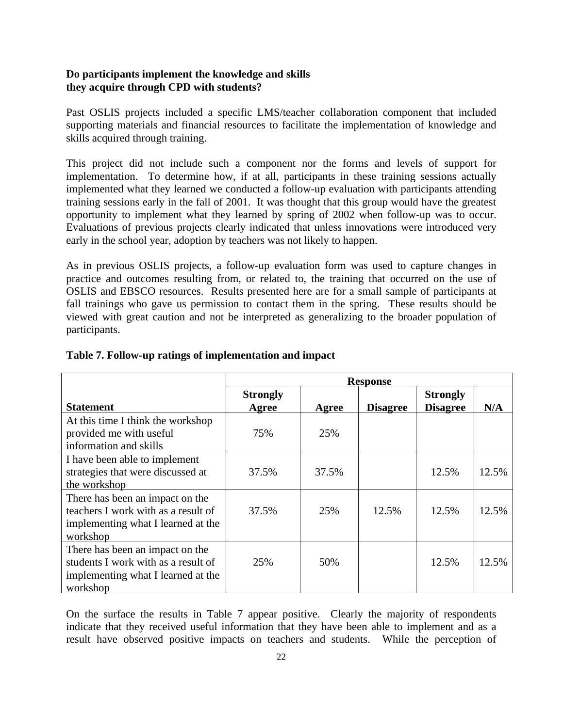## **Do participants implement the knowledge and skills they acquire through CPD with students?**

Past OSLIS projects included a specific LMS/teacher collaboration component that included supporting materials and financial resources to facilitate the implementation of knowledge and skills acquired through training.

This project did not include such a component nor the forms and levels of support for implementation. To determine how, if at all, participants in these training sessions actually implemented what they learned we conducted a follow-up evaluation with participants attending training sessions early in the fall of 2001. It was thought that this group would have the greatest opportunity to implement what they learned by spring of 2002 when follow-up was to occur. Evaluations of previous projects clearly indicated that unless innovations were introduced very early in the school year, adoption by teachers was not likely to happen.

As in previous OSLIS projects, a follow-up evaluation form was used to capture changes in practice and outcomes resulting from, or related to, the training that occurred on the use of OSLIS and EBSCO resources. Results presented here are for a small sample of participants at fall trainings who gave us permission to contact them in the spring. These results should be viewed with great caution and not be interpreted as generalizing to the broader population of participants.

|                                                                                                                          | <b>Response</b>          |              |                 |                                    |       |
|--------------------------------------------------------------------------------------------------------------------------|--------------------------|--------------|-----------------|------------------------------------|-------|
| <b>Statement</b>                                                                                                         | <b>Strongly</b><br>Agree | <b>Agree</b> | <b>Disagree</b> | <b>Strongly</b><br><b>Disagree</b> | N/A   |
| At this time I think the workshop<br>provided me with useful<br>information and skills                                   | 75%                      | 25%          |                 |                                    |       |
| I have been able to implement<br>strategies that were discussed at<br>the workshop                                       | 37.5%                    | 37.5%        |                 | 12.5%                              | 12.5% |
| There has been an impact on the<br>teachers I work with as a result of<br>implementing what I learned at the<br>workshop | 37.5%                    | 25%          | 12.5%           | 12.5%                              | 12.5% |
| There has been an impact on the<br>students I work with as a result of<br>implementing what I learned at the<br>workshop | 25%                      | 50%          |                 | 12.5%                              | 12.5% |

# **Table 7. Follow-up ratings of implementation and impact**

On the surface the results in Table 7 appear positive. Clearly the majority of respondents indicate that they received useful information that they have been able to implement and as a result have observed positive impacts on teachers and students. While the perception of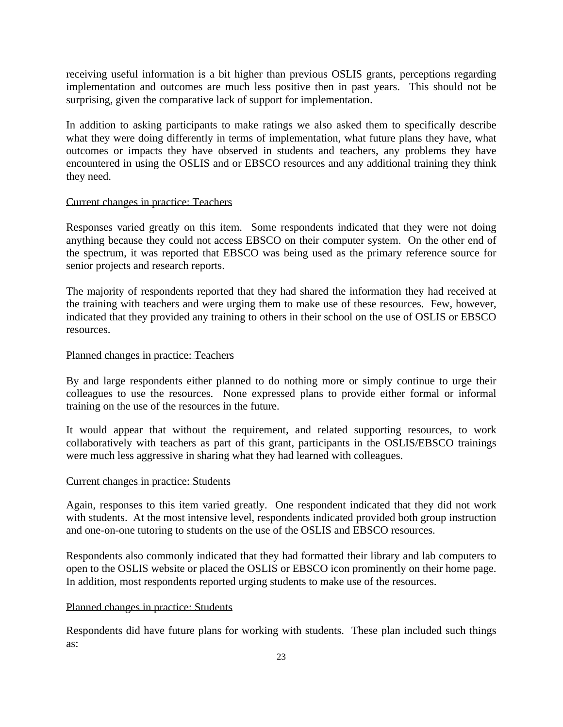receiving useful information is a bit higher than previous OSLIS grants, perceptions regarding implementation and outcomes are much less positive then in past years. This should not be surprising, given the comparative lack of support for implementation.

In addition to asking participants to make ratings we also asked them to specifically describe what they were doing differently in terms of implementation, what future plans they have, what outcomes or impacts they have observed in students and teachers, any problems they have encountered in using the OSLIS and or EBSCO resources and any additional training they think they need.

#### Current changes in practice: Teachers

Responses varied greatly on this item. Some respondents indicated that they were not doing anything because they could not access EBSCO on their computer system. On the other end of the spectrum, it was reported that EBSCO was being used as the primary reference source for senior projects and research reports.

The majority of respondents reported that they had shared the information they had received at the training with teachers and were urging them to make use of these resources. Few, however, indicated that they provided any training to others in their school on the use of OSLIS or EBSCO resources.

#### Planned changes in practice: Teachers

By and large respondents either planned to do nothing more or simply continue to urge their colleagues to use the resources. None expressed plans to provide either formal or informal training on the use of the resources in the future.

It would appear that without the requirement, and related supporting resources, to work collaboratively with teachers as part of this grant, participants in the OSLIS/EBSCO trainings were much less aggressive in sharing what they had learned with colleagues.

#### Current changes in practice: Students

Again, responses to this item varied greatly. One respondent indicated that they did not work with students. At the most intensive level, respondents indicated provided both group instruction and one-on-one tutoring to students on the use of the OSLIS and EBSCO resources.

Respondents also commonly indicated that they had formatted their library and lab computers to open to the OSLIS website or placed the OSLIS or EBSCO icon prominently on their home page. In addition, most respondents reported urging students to make use of the resources.

#### Planned changes in practice: Students

Respondents did have future plans for working with students. These plan included such things as: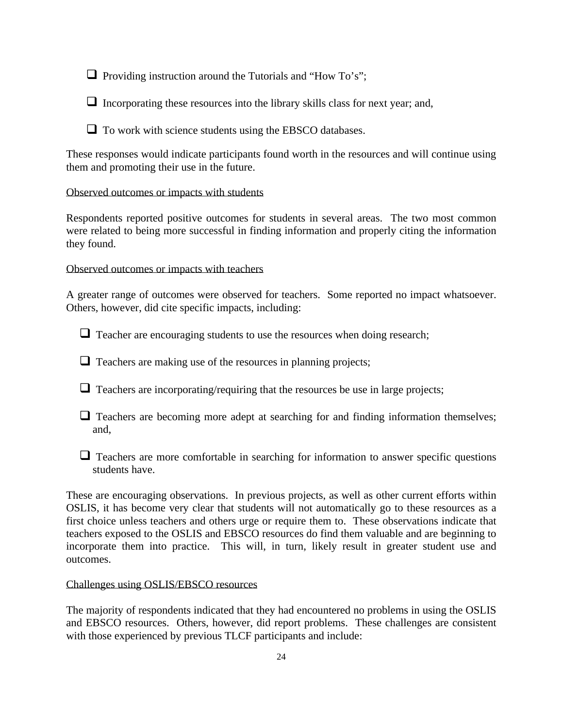$\Box$  Providing instruction around the Tutorials and "How To's";

 $\Box$  Incorporating these resources into the library skills class for next year; and,

 $\Box$  To work with science students using the EBSCO databases.

These responses would indicate participants found worth in the resources and will continue using them and promoting their use in the future.

# Observed outcomes or impacts with students

Respondents reported positive outcomes for students in several areas. The two most common were related to being more successful in finding information and properly citing the information they found.

Observed outcomes or impacts with teachers

A greater range of outcomes were observed for teachers. Some reported no impact whatsoever. Others, however, did cite specific impacts, including:

 $\Box$  Teacher are encouraging students to use the resources when doing research;

 $\Box$  Teachers are making use of the resources in planning projects;

 $\Box$  Teachers are incorporating/requiring that the resources be use in large projects;

- $\Box$  Teachers are becoming more adept at searching for and finding information themselves; and,
- $\Box$  Teachers are more comfortable in searching for information to answer specific questions students have.

These are encouraging observations. In previous projects, as well as other current efforts within OSLIS, it has become very clear that students will not automatically go to these resources as a first choice unless teachers and others urge or require them to. These observations indicate that teachers exposed to the OSLIS and EBSCO resources do find them valuable and are beginning to incorporate them into practice. This will, in turn, likely result in greater student use and outcomes.

Challenges using OSLIS/EBSCO resources

The majority of respondents indicated that they had encountered no problems in using the OSLIS and EBSCO resources. Others, however, did report problems. These challenges are consistent with those experienced by previous TLCF participants and include: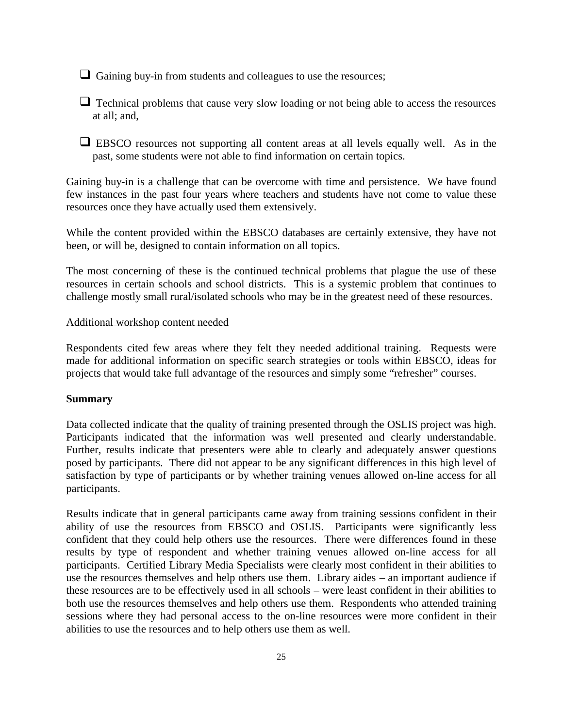$\Box$  Gaining buy-in from students and colleagues to use the resources;

 $\Box$  Technical problems that cause very slow loading or not being able to access the resources at all; and,

 $\Box$  EBSCO resources not supporting all content areas at all levels equally well. As in the past, some students were not able to find information on certain topics.

Gaining buy-in is a challenge that can be overcome with time and persistence. We have found few instances in the past four years where teachers and students have not come to value these resources once they have actually used them extensively.

While the content provided within the EBSCO databases are certainly extensive, they have not been, or will be, designed to contain information on all topics.

The most concerning of these is the continued technical problems that plague the use of these resources in certain schools and school districts. This is a systemic problem that continues to challenge mostly small rural/isolated schools who may be in the greatest need of these resources.

#### Additional workshop content needed

Respondents cited few areas where they felt they needed additional training. Requests were made for additional information on specific search strategies or tools within EBSCO, ideas for projects that would take full advantage of the resources and simply some "refresher" courses.

# **Summary**

Data collected indicate that the quality of training presented through the OSLIS project was high. Participants indicated that the information was well presented and clearly understandable. Further, results indicate that presenters were able to clearly and adequately answer questions posed by participants. There did not appear to be any significant differences in this high level of satisfaction by type of participants or by whether training venues allowed on-line access for all participants.

Results indicate that in general participants came away from training sessions confident in their ability of use the resources from EBSCO and OSLIS. Participants were significantly less confident that they could help others use the resources. There were differences found in these results by type of respondent and whether training venues allowed on-line access for all participants. Certified Library Media Specialists were clearly most confident in their abilities to use the resources themselves and help others use them. Library aides – an important audience if these resources are to be effectively used in all schools – were least confident in their abilities to both use the resources themselves and help others use them. Respondents who attended training sessions where they had personal access to the on-line resources were more confident in their abilities to use the resources and to help others use them as well.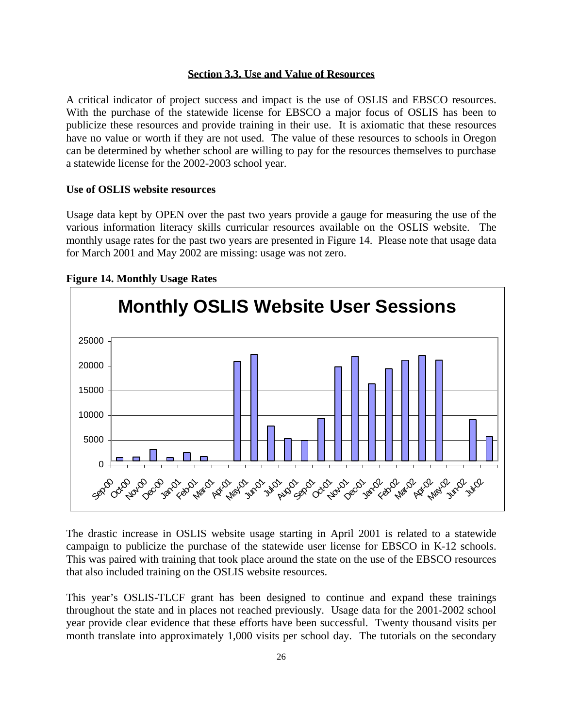#### **Section 3.3. Use and Value of Resources**

A critical indicator of project success and impact is the use of OSLIS and EBSCO resources. With the purchase of the statewide license for EBSCO a major focus of OSLIS has been to publicize these resources and provide training in their use. It is axiomatic that these resources have no value or worth if they are not used. The value of these resources to schools in Oregon can be determined by whether school are willing to pay for the resources themselves to purchase a statewide license for the 2002-2003 school year.

#### **Use of OSLIS website resources**

Usage data kept by OPEN over the past two years provide a gauge for measuring the use of the various information literacy skills curricular resources available on the OSLIS website. The monthly usage rates for the past two years are presented in Figure 14. Please note that usage data for March 2001 and May 2002 are missing: usage was not zero.



#### **Figure 14. Monthly Usage Rates**

The drastic increase in OSLIS website usage starting in April 2001 is related to a statewide campaign to publicize the purchase of the statewide user license for EBSCO in K-12 schools. This was paired with training that took place around the state on the use of the EBSCO resources that also included training on the OSLIS website resources.

This year's OSLIS-TLCF grant has been designed to continue and expand these trainings throughout the state and in places not reached previously. Usage data for the 2001-2002 school year provide clear evidence that these efforts have been successful. Twenty thousand visits per month translate into approximately 1,000 visits per school day. The tutorials on the secondary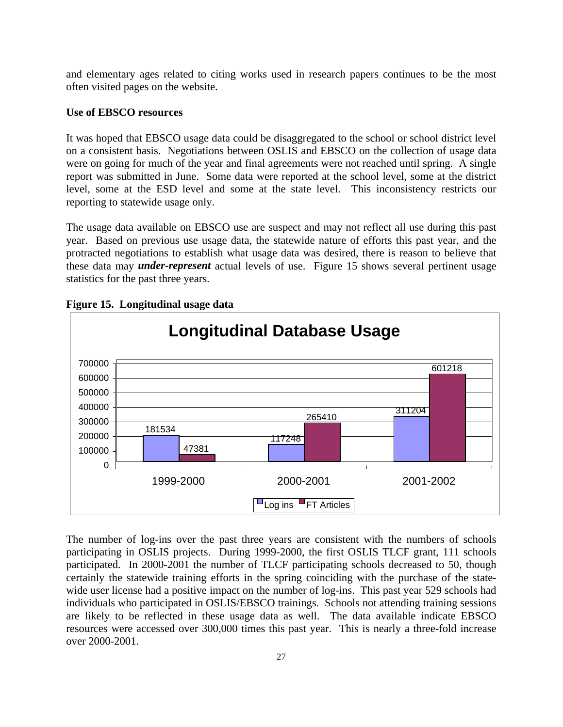and elementary ages related to citing works used in research papers continues to be the most often visited pages on the website.

#### **Use of EBSCO resources**

It was hoped that EBSCO usage data could be disaggregated to the school or school district level on a consistent basis. Negotiations between OSLIS and EBSCO on the collection of usage data were on going for much of the year and final agreements were not reached until spring. A single report was submitted in June. Some data were reported at the school level, some at the district level, some at the ESD level and some at the state level. This inconsistency restricts our reporting to statewide usage only.

The usage data available on EBSCO use are suspect and may not reflect all use during this past year. Based on previous use usage data, the statewide nature of efforts this past year, and the protracted negotiations to establish what usage data was desired, there is reason to believe that these data may *under-represent* actual levels of use. Figure 15 shows several pertinent usage statistics for the past three years.



**Figure 15. Longitudinal usage data**

The number of log-ins over the past three years are consistent with the numbers of schools participating in OSLIS projects. During 1999-2000, the first OSLIS TLCF grant, 111 schools participated. In 2000-2001 the number of TLCF participating schools decreased to 50, though certainly the statewide training efforts in the spring coinciding with the purchase of the statewide user license had a positive impact on the number of log-ins. This past year 529 schools had individuals who participated in OSLIS/EBSCO trainings. Schools not attending training sessions are likely to be reflected in these usage data as well. The data available indicate EBSCO resources were accessed over 300,000 times this past year. This is nearly a three-fold increase over 2000-2001.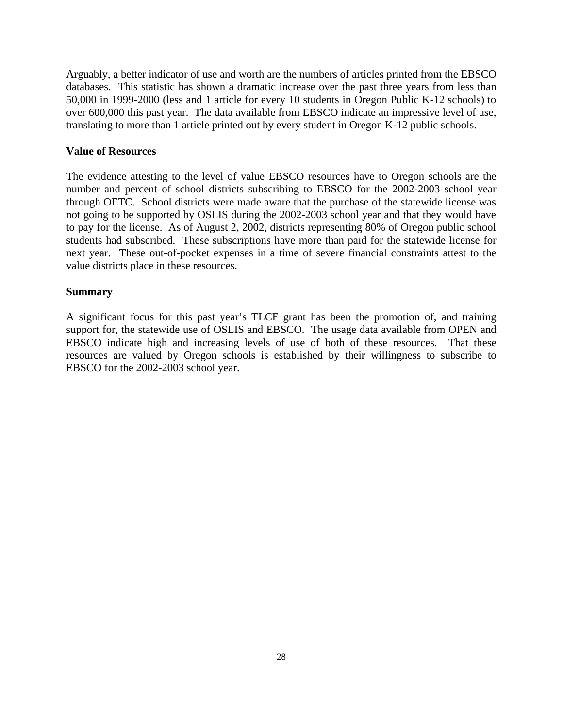Arguably, a better indicator of use and worth are the numbers of articles printed from the EBSCO databases. This statistic has shown a dramatic increase over the past three years from less than 50,000 in 1999-2000 (less and 1 article for every 10 students in Oregon Public K-12 schools) to over 600,000 this past year. The data available from EBSCO indicate an impressive level of use, translating to more than 1 article printed out by every student in Oregon K-12 public schools.

#### **Value of Resources**

The evidence attesting to the level of value EBSCO resources have to Oregon schools are the number and percent of school districts subscribing to EBSCO for the 2002-2003 school year through OETC. School districts were made aware that the purchase of the statewide license was not going to be supported by OSLIS during the 2002-2003 school year and that they would have to pay for the license. As of August 2, 2002, districts representing 80% of Oregon public school students had subscribed. These subscriptions have more than paid for the statewide license for next year. These out-of-pocket expenses in a time of severe financial constraints attest to the value districts place in these resources.

#### **Summary**

A significant focus for this past year's TLCF grant has been the promotion of, and training support for, the statewide use of OSLIS and EBSCO. The usage data available from OPEN and EBSCO indicate high and increasing levels of use of both of these resources. That these resources are valued by Oregon schools is established by their willingness to subscribe to EBSCO for the 2002-2003 school year.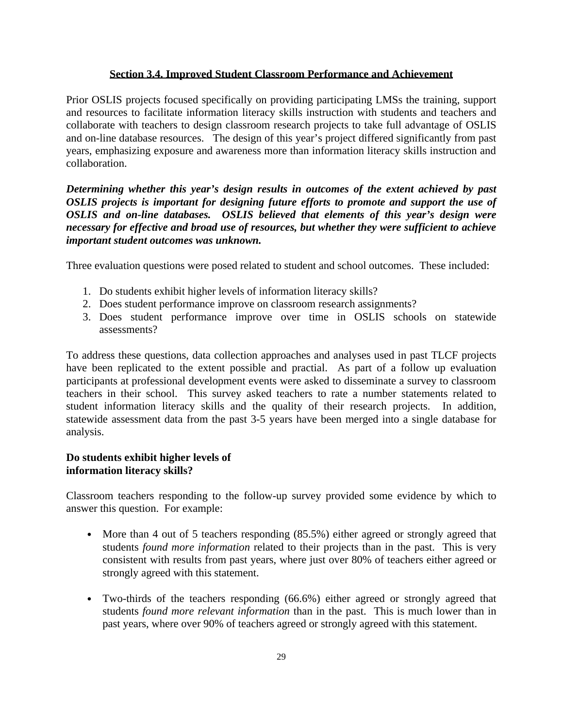# **Section 3.4. Improved Student Classroom Performance and Achievement**

Prior OSLIS projects focused specifically on providing participating LMSs the training, support and resources to facilitate information literacy skills instruction with students and teachers and collaborate with teachers to design classroom research projects to take full advantage of OSLIS and on-line database resources. The design of this year's project differed significantly from past years, emphasizing exposure and awareness more than information literacy skills instruction and collaboration.

*Determining whether this year's design results in outcomes of the extent achieved by past OSLIS projects is important for designing future efforts to promote and support the use of OSLIS and on-line databases. OSLIS believed that elements of this year's design were necessary for effective and broad use of resources, but whether they were sufficient to achieve important student outcomes was unknown.*

Three evaluation questions were posed related to student and school outcomes. These included:

- 1. Do students exhibit higher levels of information literacy skills?
- 2. Does student performance improve on classroom research assignments?
- 3. Does student performance improve over time in OSLIS schools on statewide assessments?

To address these questions, data collection approaches and analyses used in past TLCF projects have been replicated to the extent possible and practial. As part of a follow up evaluation participants at professional development events were asked to disseminate a survey to classroom teachers in their school. This survey asked teachers to rate a number statements related to student information literacy skills and the quality of their research projects. In addition, statewide assessment data from the past 3-5 years have been merged into a single database for analysis.

# **Do students exhibit higher levels of information literacy skills?**

Classroom teachers responding to the follow-up survey provided some evidence by which to answer this question. For example:

- **·** More than 4 out of 5 teachers responding (85.5%) either agreed or strongly agreed that students *found more information* related to their projects than in the past. This is very consistent with results from past years, where just over 80% of teachers either agreed or strongly agreed with this statement.
- **·** Two-thirds of the teachers responding (66.6%) either agreed or strongly agreed that students *found more relevant information* than in the past. This is much lower than in past years, where over 90% of teachers agreed or strongly agreed with this statement.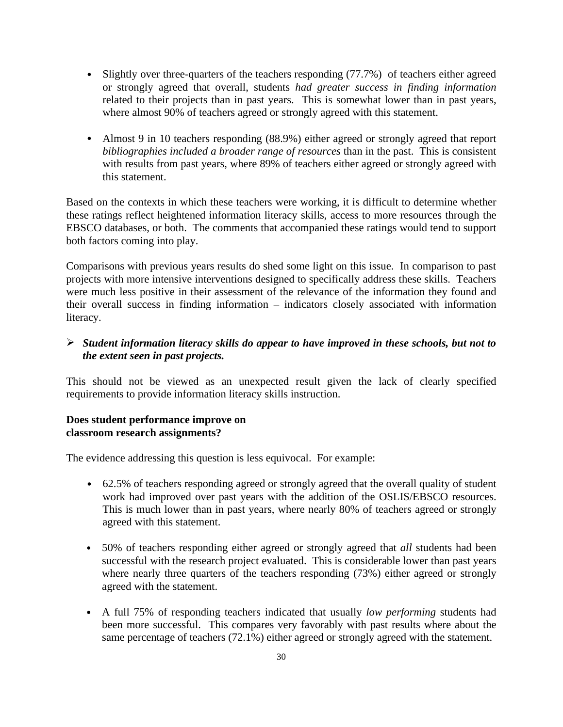- **·** Slightly over three-quarters of the teachers responding (77.7%) of teachers either agreed or strongly agreed that overall, students *had greater success in finding information* related to their projects than in past years. This is somewhat lower than in past years, where almost 90% of teachers agreed or strongly agreed with this statement.
- **·** Almost 9 in 10 teachers responding (88.9%) either agreed or strongly agreed that report *bibliographies included a broader range of resources* than in the past. This is consistent with results from past years, where 89% of teachers either agreed or strongly agreed with this statement.

Based on the contexts in which these teachers were working, it is difficult to determine whether these ratings reflect heightened information literacy skills, access to more resources through the EBSCO databases, or both. The comments that accompanied these ratings would tend to support both factors coming into play.

Comparisons with previous years results do shed some light on this issue. In comparison to past projects with more intensive interventions designed to specifically address these skills. Teachers were much less positive in their assessment of the relevance of the information they found and their overall success in finding information – indicators closely associated with information literacy.

# ÿ *Student information literacy skills do appear to have improved in these schools, but not to the extent seen in past projects.*

This should not be viewed as an unexpected result given the lack of clearly specified requirements to provide information literacy skills instruction.

# **Does student performance improve on classroom research assignments?**

The evidence addressing this question is less equivocal. For example:

- **·** 62.5% of teachers responding agreed or strongly agreed that the overall quality of student work had improved over past years with the addition of the OSLIS/EBSCO resources. This is much lower than in past years, where nearly 80% of teachers agreed or strongly agreed with this statement.
- **·** 50% of teachers responding either agreed or strongly agreed that *all* students had been successful with the research project evaluated. This is considerable lower than past years where nearly three quarters of the teachers responding (73%) either agreed or strongly agreed with the statement.
- **·** A full 75% of responding teachers indicated that usually *low performing* students had been more successful. This compares very favorably with past results where about the same percentage of teachers (72.1%) either agreed or strongly agreed with the statement.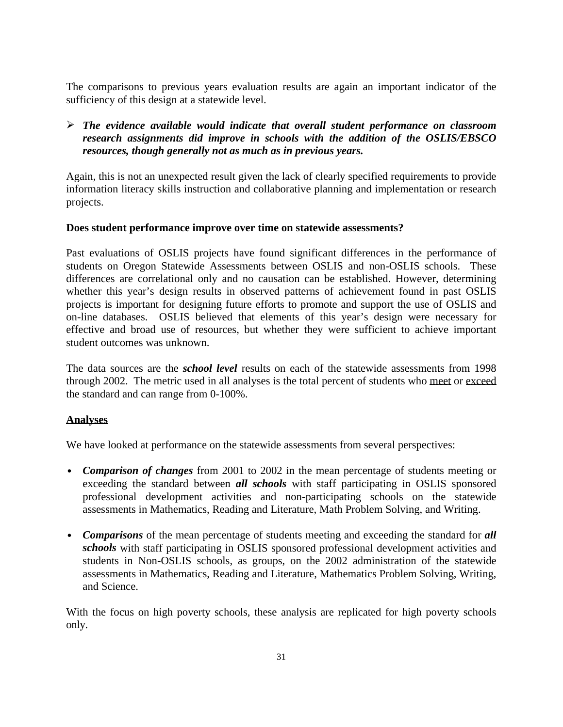The comparisons to previous years evaluation results are again an important indicator of the sufficiency of this design at a statewide level.

# ÿ *The evidence available would indicate that overall student performance on classroom research assignments did improve in schools with the addition of the OSLIS/EBSCO resources, though generally not as much as in previous years.*

Again, this is not an unexpected result given the lack of clearly specified requirements to provide information literacy skills instruction and collaborative planning and implementation or research projects.

# **Does student performance improve over time on statewide assessments?**

Past evaluations of OSLIS projects have found significant differences in the performance of students on Oregon Statewide Assessments between OSLIS and non-OSLIS schools. These differences are correlational only and no causation can be established. However, determining whether this year's design results in observed patterns of achievement found in past OSLIS projects is important for designing future efforts to promote and support the use of OSLIS and on-line databases. OSLIS believed that elements of this year's design were necessary for effective and broad use of resources, but whether they were sufficient to achieve important student outcomes was unknown.

The data sources are the *school level* results on each of the statewide assessments from 1998 through 2002. The metric used in all analyses is the total percent of students who meet or exceed the standard and can range from 0-100%.

# **Analyses**

We have looked at performance on the statewide assessments from several perspectives:

- *Comparison of changes* from 2001 to 2002 in the mean percentage of students meeting or exceeding the standard between *all schools* with staff participating in OSLIS sponsored professional development activities and non-participating schools on the statewide assessments in Mathematics, Reading and Literature, Math Problem Solving, and Writing.
- *Comparisons* of the mean percentage of students meeting and exceeding the standard for **all** *schools* with staff participating in OSLIS sponsored professional development activities and students in Non-OSLIS schools, as groups, on the 2002 administration of the statewide assessments in Mathematics, Reading and Literature, Mathematics Problem Solving, Writing, and Science.

With the focus on high poverty schools, these analysis are replicated for high poverty schools only.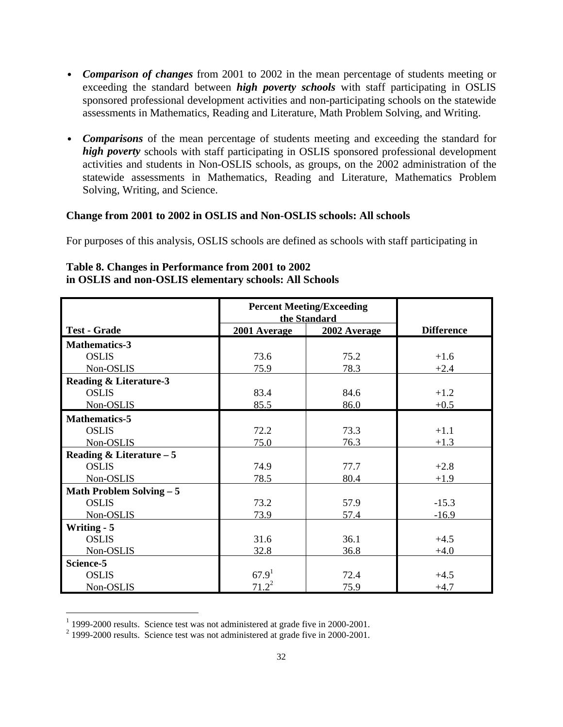- *Comparison of changes* from 2001 to 2002 in the mean percentage of students meeting or exceeding the standard between *high poverty schools* with staff participating in OSLIS sponsored professional development activities and non-participating schools on the statewide assessments in Mathematics, Reading and Literature, Math Problem Solving, and Writing.
- *Comparisons* of the mean percentage of students meeting and exceeding the standard for *high poverty* schools with staff participating in OSLIS sponsored professional development activities and students in Non-OSLIS schools, as groups, on the 2002 administration of the statewide assessments in Mathematics, Reading and Literature, Mathematics Problem Solving, Writing, and Science.

#### **Change from 2001 to 2002 in OSLIS and Non-OSLIS schools: All schools**

For purposes of this analysis, OSLIS schools are defined as schools with staff participating in

|                                   | <b>Percent Meeting/Exceeding</b><br>the Standard |              |                   |
|-----------------------------------|--------------------------------------------------|--------------|-------------------|
| <b>Test - Grade</b>               | 2001 Average                                     | 2002 Average | <b>Difference</b> |
| <b>Mathematics-3</b>              |                                                  |              |                   |
| <b>OSLIS</b>                      | 73.6                                             | 75.2         | $+1.6$            |
| Non-OSLIS                         | 75.9                                             | 78.3         | $+2.4$            |
| <b>Reading &amp; Literature-3</b> |                                                  |              |                   |
| <b>OSLIS</b>                      | 83.4                                             | 84.6         | $+1.2$            |
| Non-OSLIS                         | 85.5                                             | 86.0         | $+0.5$            |
| <b>Mathematics-5</b>              |                                                  |              |                   |
| <b>OSLIS</b>                      | 72.2                                             | 73.3         | $+1.1$            |
| Non-OSLIS                         | 75.0                                             | 76.3         | $+1.3$            |
| Reading & Literature $-5$         |                                                  |              |                   |
| <b>OSLIS</b>                      | 74.9                                             | 77.7         | $+2.8$            |
| Non-OSLIS                         | 78.5                                             | 80.4         | $+1.9$            |
| Math Problem Solving - 5          |                                                  |              |                   |
| <b>OSLIS</b>                      | 73.2                                             | 57.9         | $-15.3$           |
| Non-OSLIS                         | 73.9                                             | 57.4         | $-16.9$           |
| <b>Writing - 5</b>                |                                                  |              |                   |
| <b>OSLIS</b>                      | 31.6                                             | 36.1         | $+4.5$            |
| Non-OSLIS                         | 32.8                                             | 36.8         | $+4.0$            |
| Science-5                         |                                                  |              |                   |
| <b>OSLIS</b>                      | 67.9 <sup>1</sup>                                | 72.4         | $+4.5$            |
| Non-OSLIS                         | $71.2^2$                                         | 75.9         | $+4.7$            |

# **Table 8. Changes in Performance from 2001 to 2002 in OSLIS and non-OSLIS elementary schools: All Schools**

 1 1999-2000 results. Science test was not administered at grade five in 2000-2001.

 $2^{2}$  1999-2000 results. Science test was not administered at grade five in 2000-2001.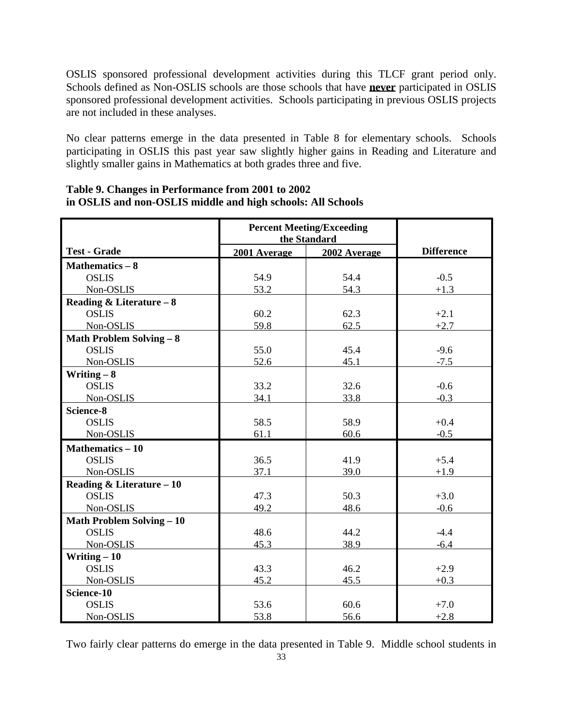OSLIS sponsored professional development activities during this TLCF grant period only. Schools defined as Non-OSLIS schools are those schools that have **never** participated in OSLIS sponsored professional development activities. Schools participating in previous OSLIS projects are not included in these analyses.

No clear patterns emerge in the data presented in Table 8 for elementary schools. Schools participating in OSLIS this past year saw slightly higher gains in Reading and Literature and slightly smaller gains in Mathematics at both grades three and five.

|                                  | <b>Percent Meeting/Exceeding</b><br>the Standard |              |                   |
|----------------------------------|--------------------------------------------------|--------------|-------------------|
| <b>Test - Grade</b>              | 2001 Average                                     | 2002 Average | <b>Difference</b> |
| Mathematics $-8$                 |                                                  |              |                   |
| <b>OSLIS</b>                     | 54.9                                             | 54.4         | $-0.5$            |
| Non-OSLIS                        | 53.2                                             | 54.3         | $+1.3$            |
| Reading & Literature $-8$        |                                                  |              |                   |
| <b>OSLIS</b>                     | 60.2                                             | 62.3         | $+2.1$            |
| Non-OSLIS                        | 59.8                                             | 62.5         | $+2.7$            |
| <b>Math Problem Solving - 8</b>  |                                                  |              |                   |
| <b>OSLIS</b>                     | 55.0                                             | 45.4         | $-9.6$            |
| Non-OSLIS                        | 52.6                                             | 45.1         | $-7.5$            |
| Writing $-8$                     |                                                  |              |                   |
| <b>OSLIS</b>                     | 33.2                                             | 32.6         | $-0.6$            |
| Non-OSLIS                        | 34.1                                             | 33.8         | $-0.3$            |
| Science-8                        |                                                  |              |                   |
| <b>OSLIS</b>                     | 58.5                                             | 58.9         | $+0.4$            |
| Non-OSLIS                        | 61.1                                             | 60.6         | $-0.5$            |
| <b>Mathematics - 10</b>          |                                                  |              |                   |
| <b>OSLIS</b>                     | 36.5                                             | 41.9         | $+5.4$            |
| Non-OSLIS                        | 37.1                                             | 39.0         | $+1.9$            |
| Reading & Literature - 10        |                                                  |              |                   |
| <b>OSLIS</b>                     | 47.3                                             | 50.3         | $+3.0$            |
| Non-OSLIS                        | 49.2                                             | 48.6         | $-0.6$            |
| <b>Math Problem Solving - 10</b> |                                                  |              |                   |
| <b>OSLIS</b>                     | 48.6                                             | 44.2         | $-4.4$            |
| Non-OSLIS                        | 45.3                                             | 38.9         | $-6.4$            |
| Writing $-10$                    |                                                  |              |                   |
| <b>OSLIS</b>                     | 43.3                                             | 46.2         | $+2.9$            |
| Non-OSLIS                        | 45.2                                             | 45.5         | $+0.3$            |
| Science-10                       |                                                  |              |                   |
| <b>OSLIS</b>                     | 53.6                                             | 60.6         | $+7.0$            |
| Non-OSLIS                        | 53.8                                             | 56.6         | $+2.8$            |

# **Table 9. Changes in Performance from 2001 to 2002 in OSLIS and non-OSLIS middle and high schools: All Schools**

Two fairly clear patterns do emerge in the data presented in Table 9. Middle school students in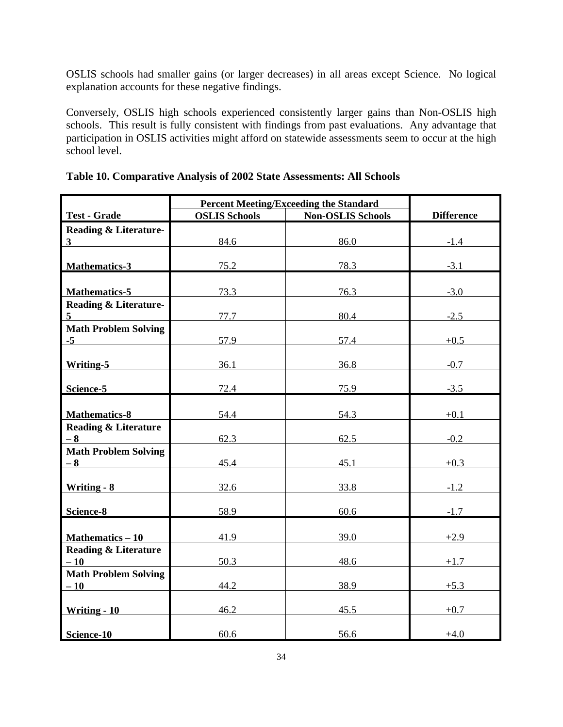OSLIS schools had smaller gains (or larger decreases) in all areas except Science. No logical explanation accounts for these negative findings.

Conversely, OSLIS high schools experienced consistently larger gains than Non-OSLIS high schools. This result is fully consistent with findings from past evaluations. Any advantage that participation in OSLIS activities might afford on statewide assessments seem to occur at the high school level.

|                                  | <b>Percent Meeting/Exceeding the Standard</b> |                          |                   |
|----------------------------------|-----------------------------------------------|--------------------------|-------------------|
| <b>Test - Grade</b>              | <b>OSLIS Schools</b>                          | <b>Non-OSLIS Schools</b> | <b>Difference</b> |
| <b>Reading &amp; Literature-</b> |                                               |                          |                   |
| 3 <sup>1</sup>                   | 84.6                                          | 86.0                     | $-1.4$            |
|                                  |                                               |                          |                   |
| <b>Mathematics-3</b>             | 75.2                                          | 78.3                     | $-3.1$            |
|                                  |                                               |                          |                   |
| <b>Mathematics-5</b>             | 73.3                                          | 76.3                     | $-3.0$            |
| <b>Reading &amp; Literature-</b> |                                               |                          |                   |
| $5\overline{)}$                  | 77.7                                          | 80.4                     | $-2.5$            |
| <b>Math Problem Solving</b>      |                                               |                          |                   |
| $-5$                             | 57.9                                          | 57.4                     | $+0.5$            |
|                                  |                                               |                          |                   |
| Writing-5                        | 36.1                                          | 36.8                     | $-0.7$            |
|                                  |                                               |                          |                   |
| Science-5                        | 72.4                                          | 75.9                     | $-3.5$            |
|                                  |                                               |                          |                   |
| <b>Mathematics-8</b>             | 54.4                                          | 54.3                     | $+0.1$            |
| <b>Reading &amp; Literature</b>  |                                               |                          |                   |
| $-8$                             | 62.3                                          | 62.5                     | $-0.2$            |
| <b>Math Problem Solving</b>      |                                               |                          |                   |
| $-8$                             | 45.4                                          | 45.1                     | $+0.3$            |
|                                  |                                               |                          |                   |
| Writing - 8                      | 32.6                                          | 33.8                     | $-1.2$            |
| Science-8                        | 58.9                                          | 60.6                     | $-1.7$            |
|                                  |                                               |                          |                   |
| Mathematics - 10                 | 41.9                                          | 39.0                     | $+2.9$            |
| <b>Reading &amp; Literature</b>  |                                               |                          |                   |
| $-10$                            | 50.3                                          | 48.6                     | $+1.7$            |
| <b>Math Problem Solving</b>      |                                               |                          |                   |
| $-10$                            | 44.2                                          | 38.9                     | $+5.3$            |
|                                  |                                               |                          |                   |
| Writing - 10                     | 46.2                                          | 45.5                     | $+0.7$            |
|                                  |                                               |                          |                   |
| Science-10                       | 60.6                                          | 56.6                     | $+4.0$            |

**Table 10. Comparative Analysis of 2002 State Assessments: All Schools**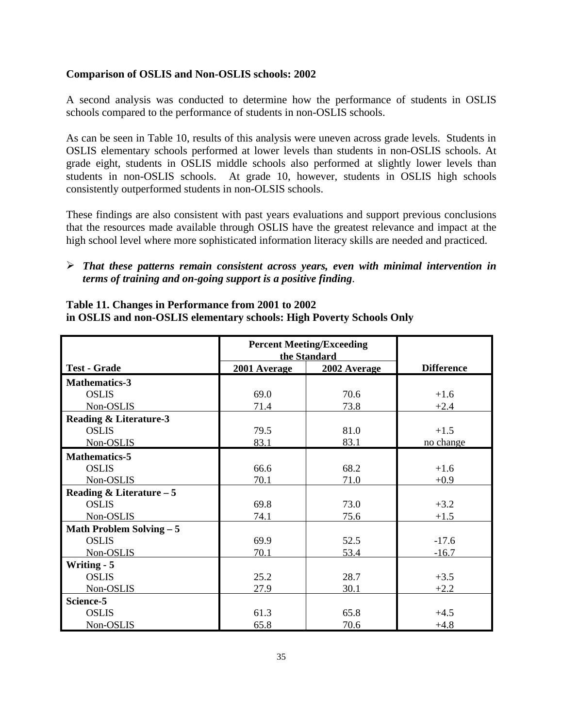## **Comparison of OSLIS and Non-OSLIS schools: 2002**

A second analysis was conducted to determine how the performance of students in OSLIS schools compared to the performance of students in non-OSLIS schools.

As can be seen in Table 10, results of this analysis were uneven across grade levels. Students in OSLIS elementary schools performed at lower levels than students in non-OSLIS schools. At grade eight, students in OSLIS middle schools also performed at slightly lower levels than students in non-OSLIS schools. At grade 10, however, students in OSLIS high schools consistently outperformed students in non-OLSIS schools.

These findings are also consistent with past years evaluations and support previous conclusions that the resources made available through OSLIS have the greatest relevance and impact at the high school level where more sophisticated information literacy skills are needed and practiced.

# ÿ *That these patterns remain consistent across years, even with minimal intervention in terms of training and on-going support is a positive finding*.

| Table 11. Changes in Performance from 2001 to 2002                   |
|----------------------------------------------------------------------|
| in OSLIS and non-OSLIS elementary schools: High Poverty Schools Only |

|                                   | <b>Percent Meeting/Exceeding</b><br>the Standard |                   |           |
|-----------------------------------|--------------------------------------------------|-------------------|-----------|
| <b>Test - Grade</b>               | 2001 Average                                     | <b>Difference</b> |           |
| <b>Mathematics-3</b>              |                                                  |                   |           |
| <b>OSLIS</b>                      | 69.0                                             | 70.6              | $+1.6$    |
| Non-OSLIS                         | 71.4                                             | 73.8              | $+2.4$    |
| <b>Reading &amp; Literature-3</b> |                                                  |                   |           |
| <b>OSLIS</b>                      | 79.5                                             | 81.0              | $+1.5$    |
| Non-OSLIS                         | 83.1                                             | 83.1              | no change |
| <b>Mathematics-5</b>              |                                                  |                   |           |
| <b>OSLIS</b>                      | 66.6                                             | 68.2              | $+1.6$    |
| Non-OSLIS                         | 70.1                                             | 71.0              | $+0.9$    |
| Reading & Literature $-5$         |                                                  |                   |           |
| <b>OSLIS</b>                      | 69.8                                             | 73.0              | $+3.2$    |
| Non-OSLIS                         | 74.1                                             | 75.6              | $+1.5$    |
| <b>Math Problem Solving - 5</b>   |                                                  |                   |           |
| <b>OSLIS</b>                      | 69.9                                             | 52.5              | $-17.6$   |
| Non-OSLIS                         | 70.1                                             | 53.4              | $-16.7$   |
| <b>Writing - 5</b>                |                                                  |                   |           |
| <b>OSLIS</b>                      | 25.2                                             | 28.7              | $+3.5$    |
| Non-OSLIS                         | 27.9                                             | 30.1              | $+2.2$    |
| Science-5                         |                                                  |                   |           |
| <b>OSLIS</b>                      | 61.3                                             | 65.8              | $+4.5$    |
| Non-OSLIS                         | 65.8                                             | 70.6              | $+4.8$    |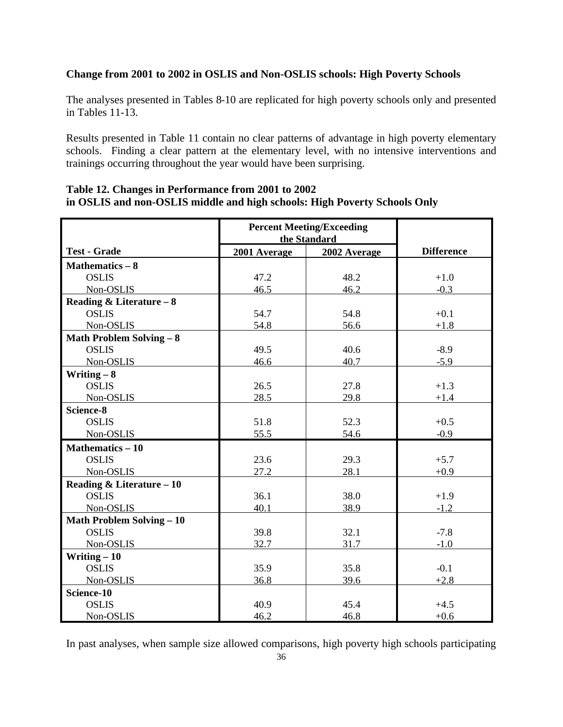# **Change from 2001 to 2002 in OSLIS and Non-OSLIS schools: High Poverty Schools**

The analyses presented in Tables 8-10 are replicated for high poverty schools only and presented in Tables 11-13.

Results presented in Table 11 contain no clear patterns of advantage in high poverty elementary schools. Finding a clear pattern at the elementary level, with no intensive interventions and trainings occurring throughout the year would have been surprising.

|                                  | <b>Percent Meeting/Exceeding</b>             |      |                   |
|----------------------------------|----------------------------------------------|------|-------------------|
| <b>Test - Grade</b>              | the Standard<br>2002 Average<br>2001 Average |      | <b>Difference</b> |
| Mathematics $-8$                 |                                              |      |                   |
| <b>OSLIS</b>                     | 47.2                                         | 48.2 | $+1.0$            |
| Non-OSLIS                        | 46.5                                         | 46.2 | $-0.3$            |
| Reading & Literature $-8$        |                                              |      |                   |
| <b>OSLIS</b>                     | 54.7                                         | 54.8 | $+0.1$            |
| Non-OSLIS                        | 54.8                                         | 56.6 | $+1.8$            |
| <b>Math Problem Solving - 8</b>  |                                              |      |                   |
| <b>OSLIS</b>                     | 49.5                                         | 40.6 | $-8.9$            |
| Non-OSLIS                        | 46.6                                         | 40.7 | $-5.9$            |
| Writing $-8$                     |                                              |      |                   |
| <b>OSLIS</b>                     | 26.5                                         | 27.8 | $+1.3$            |
| Non-OSLIS                        | 28.5                                         | 29.8 | $+1.4$            |
| Science-8                        |                                              |      |                   |
| <b>OSLIS</b>                     | 51.8                                         | 52.3 | $+0.5$            |
| Non-OSLIS                        | 55.5                                         | 54.6 | $-0.9$            |
| <b>Mathematics - 10</b>          |                                              |      |                   |
| <b>OSLIS</b>                     | 23.6                                         | 29.3 | $+5.7$            |
| Non-OSLIS                        | 27.2                                         | 28.1 | $+0.9$            |
| Reading & Literature - 10        |                                              |      |                   |
| <b>OSLIS</b>                     | 36.1                                         | 38.0 | $+1.9$            |
| Non-OSLIS                        | 40.1                                         | 38.9 | $-1.2$            |
| <b>Math Problem Solving - 10</b> |                                              |      |                   |
| <b>OSLIS</b>                     | 39.8                                         | 32.1 | $-7.8$            |
| Non-OSLIS                        | 32.7                                         | 31.7 | $-1.0$            |
| Writing $-10$                    |                                              |      |                   |
| <b>OSLIS</b>                     | 35.9                                         | 35.8 | $-0.1$            |
| Non-OSLIS                        | 36.8                                         | 39.6 | $+2.8$            |
| Science-10                       |                                              |      |                   |
| <b>OSLIS</b>                     | 40.9                                         | 45.4 | $+4.5$            |
| Non-OSLIS                        | 46.2                                         | 46.8 | $+0.6$            |

# **Table 12. Changes in Performance from 2001 to 2002 in OSLIS and non-OSLIS middle and high schools: High Poverty Schools Only**

In past analyses, when sample size allowed comparisons, high poverty high schools participating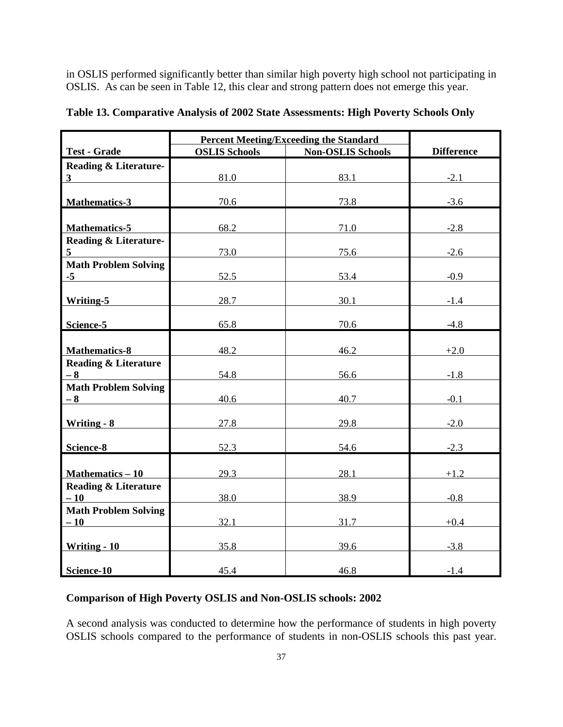in OSLIS performed significantly better than similar high poverty high school not participating in OSLIS. As can be seen in Table 12, this clear and strong pattern does not emerge this year.

|                                      | <b>Percent Meeting/Exceeding the Standard</b>    |      |                   |  |  |
|--------------------------------------|--------------------------------------------------|------|-------------------|--|--|
| <b>Test - Grade</b>                  | <b>Non-OSLIS Schools</b><br><b>OSLIS Schools</b> |      | <b>Difference</b> |  |  |
| <b>Reading &amp; Literature-</b>     |                                                  |      |                   |  |  |
| 3 <sup>1</sup>                       | 81.0                                             | 83.1 | $-2.1$            |  |  |
|                                      |                                                  |      |                   |  |  |
| Mathematics-3                        | 70.6                                             | 73.8 | $-3.6$            |  |  |
|                                      |                                                  |      |                   |  |  |
| <b>Mathematics-5</b>                 | 68.2                                             | 71.0 | $-2.8$            |  |  |
| <b>Reading &amp; Literature-</b>     |                                                  |      |                   |  |  |
| 5 <sup>5</sup>                       | 73.0                                             | 75.6 | $-2.6$            |  |  |
| <b>Math Problem Solving</b>          |                                                  |      |                   |  |  |
| $-5$                                 | 52.5                                             | 53.4 | $-0.9$            |  |  |
|                                      |                                                  |      |                   |  |  |
| <b>Writing-5</b>                     | 28.7                                             | 30.1 | $-1.4$            |  |  |
| Science-5                            | 65.8                                             | 70.6 | $-4.8$            |  |  |
|                                      |                                                  |      |                   |  |  |
| <b>Mathematics-8</b>                 | 48.2                                             | 46.2 | $+2.0$            |  |  |
| <b>Reading &amp; Literature</b>      |                                                  |      |                   |  |  |
| $-8$                                 | 54.8                                             | 56.6 | $-1.8$            |  |  |
| <b>Math Problem Solving</b>          |                                                  |      |                   |  |  |
| $-8$                                 | 40.6                                             | 40.7 | $-0.1$            |  |  |
|                                      |                                                  |      |                   |  |  |
| Writing - 8                          | 27.8                                             | 29.8 | $-2.0$            |  |  |
|                                      |                                                  |      |                   |  |  |
| Science-8                            | 52.3                                             | 54.6 | $-2.3$            |  |  |
|                                      |                                                  |      |                   |  |  |
| Mathematics - 10                     | 29.3                                             | 28.1 | $+1.2$            |  |  |
| <b>Reading &amp; Literature</b>      |                                                  |      |                   |  |  |
| $-10$                                | 38.0                                             | 38.9 | $-0.8$            |  |  |
| <b>Math Problem Solving</b><br>$-10$ | 32.1                                             | 31.7 | $+0.4$            |  |  |
|                                      |                                                  |      |                   |  |  |
| Writing - 10                         | 35.8                                             | 39.6 | $-3.8$            |  |  |
|                                      |                                                  |      |                   |  |  |
| Science-10                           | 45.4                                             | 46.8 | $-1.4$            |  |  |

|  |  |  | Table 13. Comparative Analysis of 2002 State Assessments: High Poverty Schools Only |  |  |  |
|--|--|--|-------------------------------------------------------------------------------------|--|--|--|
|  |  |  |                                                                                     |  |  |  |

# **Comparison of High Poverty OSLIS and Non-OSLIS schools: 2002**

A second analysis was conducted to determine how the performance of students in high poverty OSLIS schools compared to the performance of students in non-OSLIS schools this past year.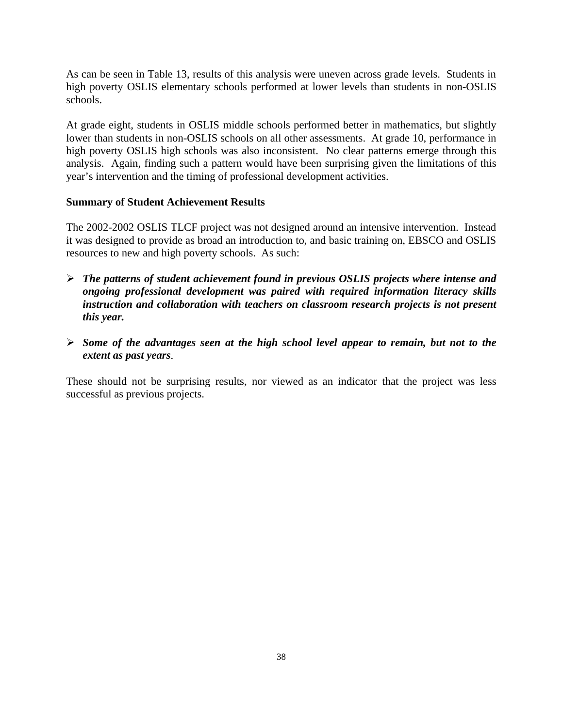As can be seen in Table 13, results of this analysis were uneven across grade levels. Students in high poverty OSLIS elementary schools performed at lower levels than students in non-OSLIS schools.

At grade eight, students in OSLIS middle schools performed better in mathematics, but slightly lower than students in non-OSLIS schools on all other assessments. At grade 10, performance in high poverty OSLIS high schools was also inconsistent. No clear patterns emerge through this analysis. Again, finding such a pattern would have been surprising given the limitations of this year's intervention and the timing of professional development activities.

# **Summary of Student Achievement Results**

The 2002-2002 OSLIS TLCF project was not designed around an intensive intervention. Instead it was designed to provide as broad an introduction to, and basic training on, EBSCO and OSLIS resources to new and high poverty schools. As such:

- ÿ *The patterns of student achievement found in previous OSLIS projects where intense and ongoing professional development was paired with required information literacy skills instruction and collaboration with teachers on classroom research projects is not present this year.*
- ÿ *Some of the advantages seen at the high school level appear to remain, but not to the extent as past years*.

These should not be surprising results, nor viewed as an indicator that the project was less successful as previous projects.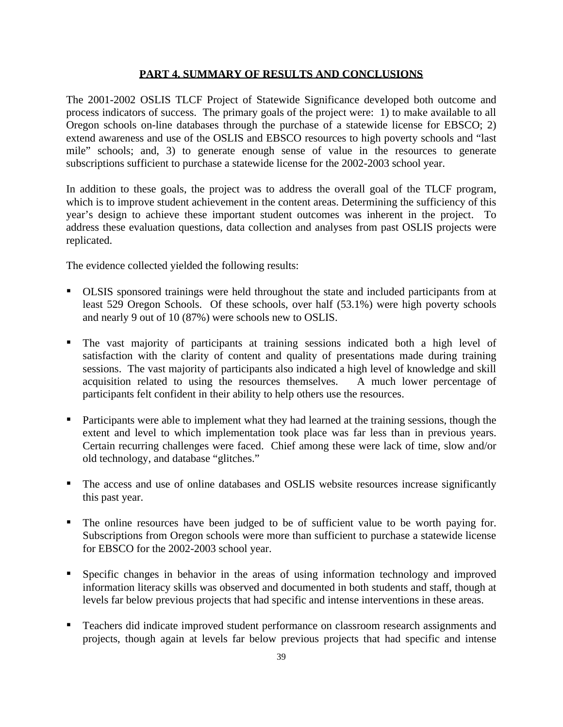## **PART 4. SUMMARY OF RESULTS AND CONCLUSIONS**

The 2001-2002 OSLIS TLCF Project of Statewide Significance developed both outcome and process indicators of success. The primary goals of the project were: 1) to make available to all Oregon schools on-line databases through the purchase of a statewide license for EBSCO; 2) extend awareness and use of the OSLIS and EBSCO resources to high poverty schools and "last mile" schools; and, 3) to generate enough sense of value in the resources to generate subscriptions sufficient to purchase a statewide license for the 2002-2003 school year.

In addition to these goals, the project was to address the overall goal of the TLCF program, which is to improve student achievement in the content areas. Determining the sufficiency of this year's design to achieve these important student outcomes was inherent in the project. To address these evaluation questions, data collection and analyses from past OSLIS projects were replicated.

The evidence collected yielded the following results:

- **OLSIS** sponsored trainings were held throughout the state and included participants from at least 529 Oregon Schools. Of these schools, over half (53.1%) were high poverty schools and nearly 9 out of 10 (87%) were schools new to OSLIS.
- The vast majority of participants at training sessions indicated both a high level of satisfaction with the clarity of content and quality of presentations made during training sessions. The vast majority of participants also indicated a high level of knowledge and skill acquisition related to using the resources themselves. A much lower percentage of participants felt confident in their ability to help others use the resources.
- **•** Participants were able to implement what they had learned at the training sessions, though the extent and level to which implementation took place was far less than in previous years. Certain recurring challenges were faced. Chief among these were lack of time, slow and/or old technology, and database "glitches."
- ß The access and use of online databases and OSLIS website resources increase significantly this past year.
- ß The online resources have been judged to be of sufficient value to be worth paying for. Subscriptions from Oregon schools were more than sufficient to purchase a statewide license for EBSCO for the 2002-2003 school year.
- **Specific changes in behavior in the areas of using information technology and improved** information literacy skills was observed and documented in both students and staff, though at levels far below previous projects that had specific and intense interventions in these areas.
- Teachers did indicate improved student performance on classroom research assignments and projects, though again at levels far below previous projects that had specific and intense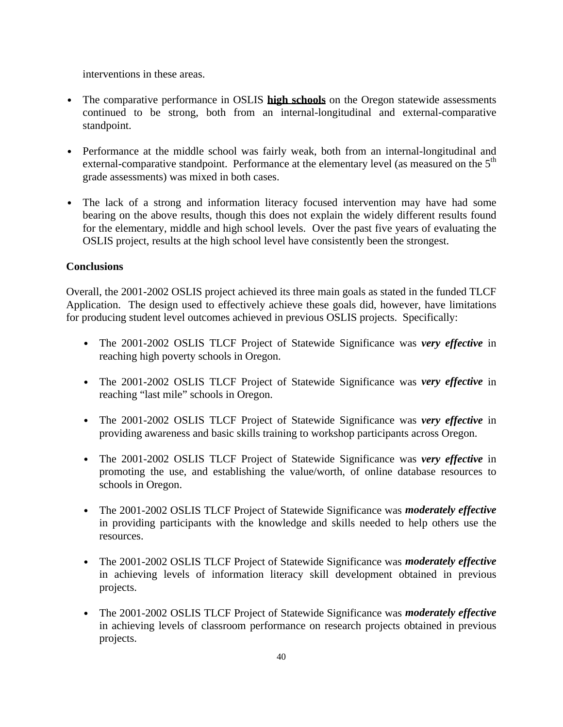interventions in these areas.

- The comparative performance in OSLIS **high schools** on the Oregon statewide assessments continued to be strong, both from an internal-longitudinal and external-comparative standpoint.
- Performance at the middle school was fairly weak, both from an internal-longitudinal and external-comparative standpoint. Performance at the elementary level (as measured on the  $5<sup>th</sup>$ grade assessments) was mixed in both cases.
- The lack of a strong and information literacy focused intervention may have had some bearing on the above results, though this does not explain the widely different results found for the elementary, middle and high school levels. Over the past five years of evaluating the OSLIS project, results at the high school level have consistently been the strongest.

# **Conclusions**

Overall, the 2001-2002 OSLIS project achieved its three main goals as stated in the funded TLCF Application. The design used to effectively achieve these goals did, however, have limitations for producing student level outcomes achieved in previous OSLIS projects. Specifically:

- **·** The 2001-2002 OSLIS TLCF Project of Statewide Significance was *very effective* in reaching high poverty schools in Oregon.
- **·** The 2001-2002 OSLIS TLCF Project of Statewide Significance was *very effective* in reaching "last mile" schools in Oregon.
- **·** The 2001-2002 OSLIS TLCF Project of Statewide Significance was *very effective* in providing awareness and basic skills training to workshop participants across Oregon.
- **·** The 2001-2002 OSLIS TLCF Project of Statewide Significance was *very effective* in promoting the use, and establishing the value/worth, of online database resources to schools in Oregon.
- **·** The 2001-2002 OSLIS TLCF Project of Statewide Significance was *moderately effective* in providing participants with the knowledge and skills needed to help others use the resources.
- **·** The 2001-2002 OSLIS TLCF Project of Statewide Significance was *moderately effective* in achieving levels of information literacy skill development obtained in previous projects.
- **·** The 2001-2002 OSLIS TLCF Project of Statewide Significance was *moderately effective* in achieving levels of classroom performance on research projects obtained in previous projects.